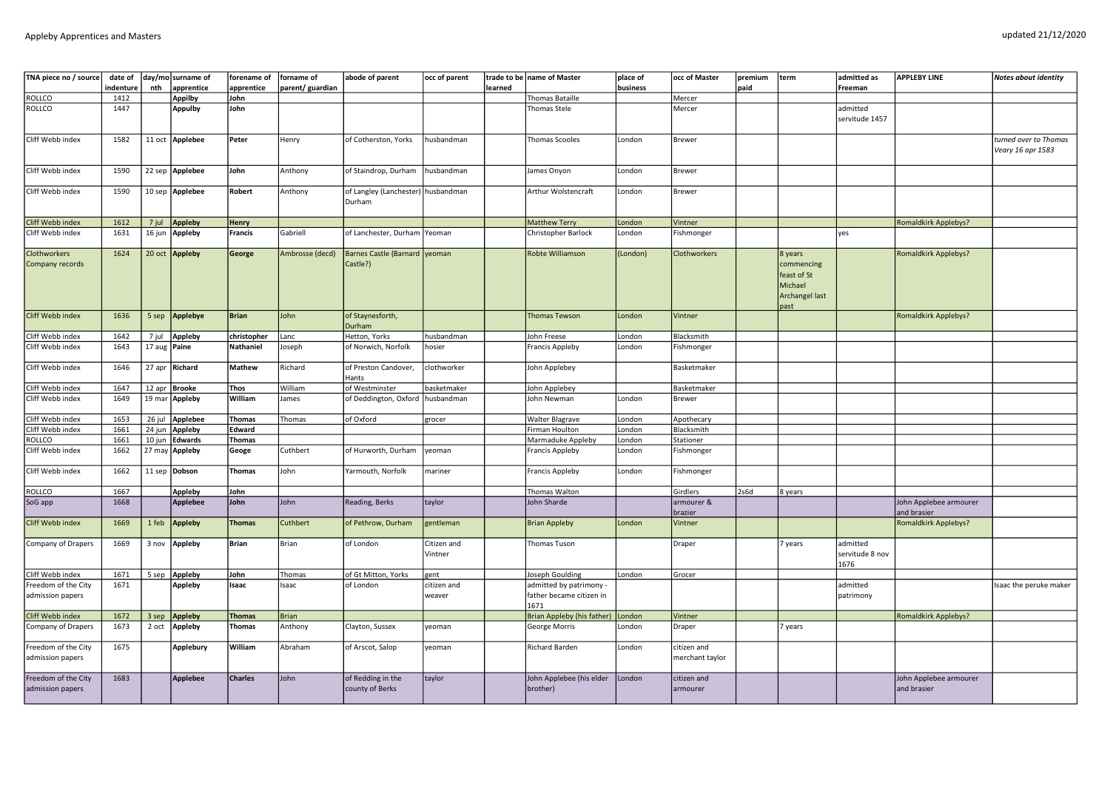| TNA piece no / source                   | date of<br>ndenture | nth    | day/mo surname of<br>apprentice | forename of<br>apprentice | forname of<br>parent/ guardian | abode of parent                           | occ of parent          | learned | trade to be name of Master        | place of<br>business | occ of Master                  | premium<br>paid | term                                                                      | admitted as<br>Freeman              | <b>APPLEBY LINE</b>                   | Notes about identity   |
|-----------------------------------------|---------------------|--------|---------------------------------|---------------------------|--------------------------------|-------------------------------------------|------------------------|---------|-----------------------------------|----------------------|--------------------------------|-----------------|---------------------------------------------------------------------------|-------------------------------------|---------------------------------------|------------------------|
| ROLLCO                                  | 1412                |        | <b>Appilby</b>                  | John                      |                                |                                           |                        |         | Thomas Bataille                   |                      | Mercer                         |                 |                                                                           |                                     |                                       |                        |
| ROLLCO                                  | 1447                |        | <b>Appulby</b>                  | John                      |                                |                                           |                        |         | Thomas Stele                      |                      | Mercer                         |                 |                                                                           | admitted                            |                                       |                        |
|                                         |                     |        |                                 |                           |                                |                                           |                        |         |                                   |                      |                                |                 |                                                                           | servitude 1457                      |                                       |                        |
| Cliff Webb index                        | 1582                |        | 11 oct Applebee                 | Peter                     | Henry                          | of Cotherston, Yorks                      | husbandman             |         | Thomas Scooles                    | London               | <b>Brewer</b>                  |                 |                                                                           |                                     |                                       | turned over to Thomas  |
|                                         |                     |        |                                 |                           |                                |                                           |                        |         |                                   |                      |                                |                 |                                                                           |                                     |                                       | Veary 16 apr 1583      |
| Cliff Webb index                        | 1590                |        | 22 sep Applebee                 | John                      | Anthony                        | of Staindrop, Durham                      | husbandman             |         | James Onyon                       | London               | <b>Brewer</b>                  |                 |                                                                           |                                     |                                       |                        |
| Cliff Webb index                        | 1590                |        | 10 sep Applebee                 | Robert                    | Anthony                        | of Langley (Lanchester)<br>Durham         | husbandman             |         | Arthur Wolstencraft               | London               | <b>Brewer</b>                  |                 |                                                                           |                                     |                                       |                        |
| Cliff Webb index                        | 1612                | 7 jul  | Appleby                         | Henry                     |                                |                                           |                        |         | <b>Matthew Terry</b>              | London               | Vintner                        |                 |                                                                           |                                     | <b>Romaldkirk Applebys?</b>           |                        |
| Cliff Webb index                        | 1631                | 16 jun | Appleby                         | Francis                   | Gabriell                       | of Lanchester, Durham                     | Yeoman                 |         | Christopher Barlock               | London               | Fishmonger                     |                 |                                                                           | yes                                 |                                       |                        |
| Clothworkers<br>Company records         | 1624                |        | 20 oct Appleby                  | George                    | Ambrosse (decd)                | Barnes Castle (Barnard yeoman<br>Castle?) |                        |         | Robte Williamson                  | (London)             | Clothworkers                   |                 | 8 years<br>commencing<br>feast of St<br>Michael<br>Archangel last<br>past |                                     | Romaldkirk Applebys?                  |                        |
| Cliff Webb index                        | 1636                | 5 sep  | <b>Applebye</b>                 | <b>Brian</b>              | John                           | of Staynesforth,<br>Durham                |                        |         | <b>Thomas Tewson</b>              | London               | Vintner                        |                 |                                                                           |                                     | <b>Romaldkirk Applebys?</b>           |                        |
| Cliff Webb index                        | 1642                | 7 jul  | Appleby                         | christopher               | Lanc                           | Hetton, Yorks                             | husbandman             |         | ohn Freese                        | London               | <b>Blacksmith</b>              |                 |                                                                           |                                     |                                       |                        |
| Cliff Webb index                        | 1643                | 17 aug | Paine                           | <b>Nathaniel</b>          | Joseph                         | of Norwich, Norfolk                       | hosier                 |         | Francis Appleby                   | London               | Fishmonger                     |                 |                                                                           |                                     |                                       |                        |
| Cliff Webb index                        | 1646                |        | 27 apr Richard                  | Mathew                    | Richard                        | of Preston Candover,<br>Hants             | clothworker            |         | John Applebey                     |                      | Basketmaker                    |                 |                                                                           |                                     |                                       |                        |
| Cliff Webb index                        | 1647                | 12 apr | <b>Brooke</b>                   | Thos                      | William                        | of Westminster                            | basketmaker            |         | John Applebey                     |                      | Basketmaker                    |                 |                                                                           |                                     |                                       |                        |
| Cliff Webb index                        | 1649                | 19 mar | Appleby                         | William                   | James                          | of Deddington, Oxford                     | husbandman             |         | John Newman                       | London               | Brewer                         |                 |                                                                           |                                     |                                       |                        |
| Cliff Webb index                        | 1653                |        | 26 jul Applebee                 | <b>Thomas</b>             | Thomas                         | of Oxford                                 | grocer                 |         | <b>Walter Blagrave</b>            | London               | Apothecary                     |                 |                                                                           |                                     |                                       |                        |
| Cliff Webb index                        | 1661                | 24 jun | Appleby                         | Edward                    |                                |                                           |                        |         | Firman Houlton                    | London               | Blacksmith                     |                 |                                                                           |                                     |                                       |                        |
| ROLLCO                                  | 1661                | 10 jun | <b>Edwards</b>                  | Thomas                    |                                |                                           |                        |         | Marmaduke Appleby                 | London               | <b>Stationer</b>               |                 |                                                                           |                                     |                                       |                        |
| Cliff Webb index                        | 1662                |        | 27 may Appleby                  | Geoge                     | Cuthbert                       | of Hurworth, Durham                       | yeoman                 |         | Francis Appleby                   | London               | Fishmonger                     |                 |                                                                           |                                     |                                       |                        |
| Cliff Webb index                        | 1662                |        | 11 sep Dobson                   | <b>Thomas</b>             | John                           | Yarmouth, Norfolk                         | mariner                |         | Francis Appleby                   | London               | Fishmonger                     |                 |                                                                           |                                     |                                       |                        |
| ROLLCO                                  | 1667                |        | Appleby                         | John                      |                                |                                           |                        |         | Thomas Walton                     |                      | Girdlers                       | 2s6d            | 8 years                                                                   |                                     |                                       |                        |
| SoG app                                 | 1668                |        | <b>Applebee</b>                 | John                      | John                           | Reading, Berks                            | taylor                 |         | John Sharde                       |                      | armourer &<br>brazier          |                 |                                                                           |                                     | John Applebee armourer<br>and brasier |                        |
| Cliff Webb index                        | 1669                | 1 feb  | <b>Appleby</b>                  | <b>Thomas</b>             | Cuthbert                       | of Pethrow, Durham                        | gentleman              |         | <b>Brian Appleby</b>              | London               | Vintner                        |                 |                                                                           |                                     | <b>Romaldkirk Applebys?</b>           |                        |
| Company of Drapers                      | 1669                | 3 nov  | Appleby                         | Brian                     | Brian                          | of London                                 | Citizen and<br>Vintner |         | Thomas Tuson                      |                      | Draper                         |                 | years                                                                     | admitted<br>servitude 8 nov<br>1676 |                                       |                        |
| Cliff Webb index                        | 1671                | 5 sep  | Appleby                         | John                      | Thomas                         | of Gt Mitton, Yorks                       | gent                   |         | Joseph Goulding                   | London               | Grocer                         |                 |                                                                           |                                     |                                       |                        |
| Freedom of the City                     | 1671                |        | <b>Appleby</b>                  | Isaac                     | Isaac                          | of London                                 | citizen and            |         | admitted by patrimony -           |                      |                                |                 |                                                                           | admitted                            |                                       | Isaac the peruke maker |
| admission papers                        |                     |        |                                 |                           |                                |                                           | weaver                 |         | father became citizen in<br>1671  |                      |                                |                 |                                                                           | patrimony                           |                                       |                        |
| Cliff Webb index                        | 1672                | 3 sep  | <b>Appleby</b>                  | <b>Thomas</b>             | Brian                          |                                           |                        |         | Brian Appleby (his father) London |                      | Vintner                        |                 |                                                                           |                                     | <b>Romaldkirk Applebys?</b>           |                        |
| Company of Drapers                      | 1673                | 2 oct  | Appleby                         | <b>Thomas</b>             | Anthony                        | Clayton, Sussex                           | veoman                 |         | George Morris                     | London               | Draper                         |                 | 7 years                                                                   |                                     |                                       |                        |
| Freedom of the City<br>admission papers | 1675                |        | <b>Applebury</b>                | William                   | Abraham                        | of Arscot, Salop                          | yeoman                 |         | Richard Barden                    | London               | citizen and<br>merchant taylor |                 |                                                                           |                                     |                                       |                        |
| Freedom of the City                     | 1683                |        | Applebee                        | <b>Charles</b>            | John                           | of Redding in the                         | taylor                 |         | John Applebee (his elder          | London               | citizen and                    |                 |                                                                           |                                     | John Applebee armourer                |                        |
| admission papers                        |                     |        |                                 |                           |                                | county of Berks                           |                        |         | brother)                          |                      | armourer                       |                 |                                                                           |                                     | and brasier                           |                        |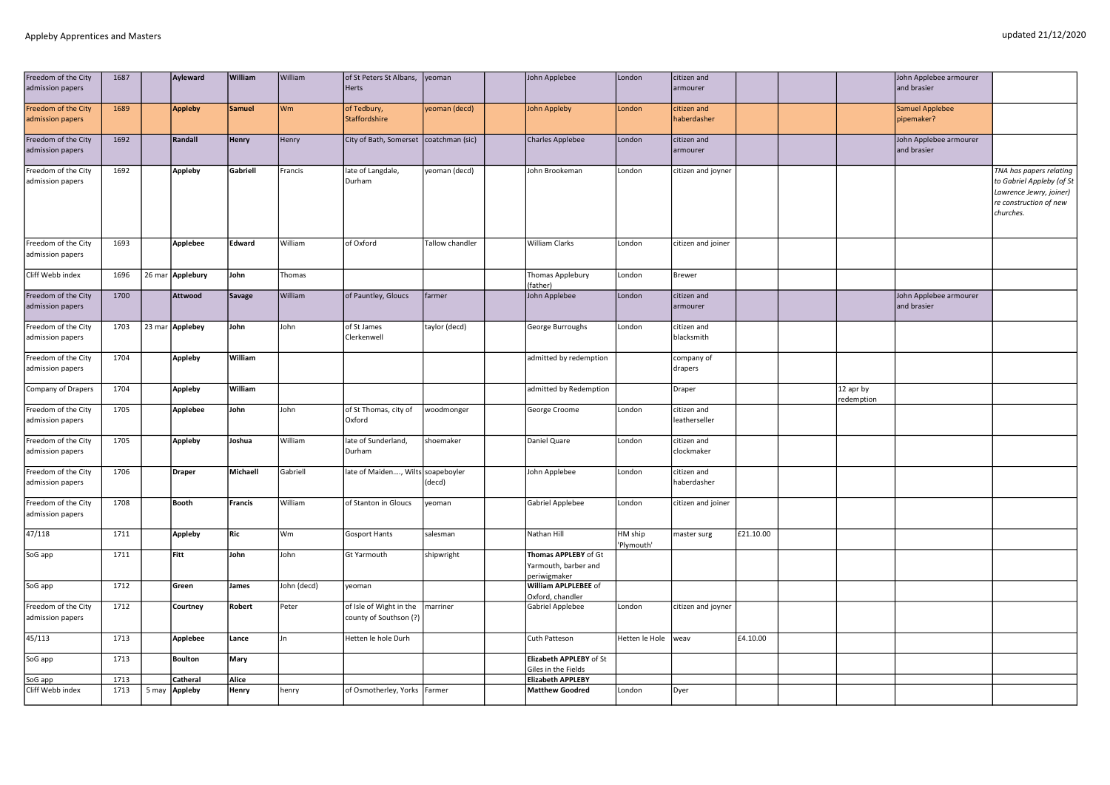| Freedom of the City<br>admission papers | 1687 |        | Ayleward        | William       | William     | of St Peters St Albans,<br>Herts                  | veoman          | John Applebee                                                | London                | citizen and<br>armourer      |           |                        | John Applebee armourer<br>and brasier |                                                                                                                        |
|-----------------------------------------|------|--------|-----------------|---------------|-------------|---------------------------------------------------|-----------------|--------------------------------------------------------------|-----------------------|------------------------------|-----------|------------------------|---------------------------------------|------------------------------------------------------------------------------------------------------------------------|
| Freedom of the City<br>admission papers | 1689 |        | <b>Appleby</b>  | <b>Samuel</b> | Wm          | of Tedbury,<br>Staffordshire                      | yeoman (decd)   | <b>John Appleby</b>                                          | London                | citizen and<br>haberdasher   |           |                        | <b>Samuel Applebee</b><br>pipemaker?  |                                                                                                                        |
| Freedom of the City<br>admission papers | 1692 |        | Randall         | <b>Henry</b>  | Henry       | City of Bath, Somerset                            | coatchman (sic) | <b>Charles Applebee</b>                                      | London                | citizen and<br>armourer      |           |                        | John Applebee armourer<br>and brasier |                                                                                                                        |
| Freedom of the City<br>admission papers | 1692 |        | Appleby         | Gabriell      | Francis     | late of Langdale,<br>Durham                       | yeoman (decd)   | John Brookeman                                               | London                | citizen and joyner           |           |                        |                                       | TNA has papers relating<br>to Gabriel Appleby (of St<br>Lawrence Jewry, joiner)<br>re construction of new<br>churches. |
| Freedom of the City<br>admission papers | 1693 |        | Applebee        | Edward        | William     | of Oxford                                         | Tallow chandler | <b>William Clarks</b>                                        | London                | citizen and joiner           |           |                        |                                       |                                                                                                                        |
| Cliff Webb index                        | 1696 | 26 mar | Applebury       | John          | Thomas      |                                                   |                 | Thomas Applebury<br>(father)                                 | London                | <b>Brewer</b>                |           |                        |                                       |                                                                                                                        |
| Freedom of the City<br>admission papers | 1700 |        | Attwood         | <b>Savage</b> | William     | of Pauntley, Gloucs                               | farmer          | John Applebee                                                | London                | citizen and<br>armourer      |           |                        | John Applebee armourer<br>and brasier |                                                                                                                        |
| Freedom of the City<br>admission papers | 1703 |        | 23 mar Applebey | John          | John        | of St James<br>Clerkenwell                        | taylor (decd)   | George Burroughs                                             | London                | citizen and<br>blacksmith    |           |                        |                                       |                                                                                                                        |
| Freedom of the City<br>admission papers | 1704 |        | Appleby         | William       |             |                                                   |                 | admitted by redemption                                       |                       | company of<br>drapers        |           |                        |                                       |                                                                                                                        |
| Company of Drapers                      | 1704 |        | <b>Appleby</b>  | William       |             |                                                   |                 | admitted by Redemption                                       |                       | Draper                       |           | 12 apr by<br>edemption |                                       |                                                                                                                        |
| Freedom of the City<br>admission papers | 1705 |        | Applebee        | John          | John        | of St Thomas, city of<br>Oxford                   | woodmonger      | George Croome                                                | London                | citizen and<br>leatherseller |           |                        |                                       |                                                                                                                        |
| Freedom of the City<br>admission papers | 1705 |        | Appleby         | Joshua        | William     | late of Sunderland,<br>Durham                     | shoemaker       | Daniel Quare                                                 | London                | citizen and<br>clockmaker    |           |                        |                                       |                                                                                                                        |
| Freedom of the City<br>admission papers | 1706 |        | <b>Draper</b>   | Michaell      | Gabriell    | late of Maiden, Wilts soapeboyler                 | (decd)          | John Applebee                                                | London                | citizen and<br>haberdasher   |           |                        |                                       |                                                                                                                        |
| Freedom of the City<br>admission papers | 1708 |        | <b>Booth</b>    | Francis       | William     | of Stanton in Gloucs                              | yeoman          | Gabriel Applebee                                             | London                | citizen and joiner           |           |                        |                                       |                                                                                                                        |
| 47/118                                  | 1711 |        | Appleby         | Ric           | Wm          | Gosport Hants                                     | salesman        | Nathan Hill                                                  | HM ship<br>'Plymouth' | master surg                  | £21.10.00 |                        |                                       |                                                                                                                        |
| SoG app                                 | 1711 |        | Fitt            | John          | John        | Gt Yarmouth                                       | shipwright      | Thomas APPLEBY of Gt<br>Yarmouth, barber and<br>periwigmaker |                       |                              |           |                        |                                       |                                                                                                                        |
| SoG app                                 | 1712 |        | Green           | James         | John (decd) | yeoman                                            |                 | William APLPLEBEE of<br>Oxford, chandler                     |                       |                              |           |                        |                                       |                                                                                                                        |
| Freedom of the City<br>admission papers | 1712 |        | Courtney        | Robert        | Peter       | of Isle of Wight in the<br>county of Southson (?) | marriner        | Gabriel Applebee                                             | London                | citizen and joyner           |           |                        |                                       |                                                                                                                        |
| 45/113                                  | 1713 |        | Applebee        | Lance         | Jn          | Hetten le hole Durh                               |                 | Cuth Patteson                                                | Hetten le Hole        | weav                         | £4.10.00  |                        |                                       |                                                                                                                        |
| SoG app                                 | 1713 |        | <b>Boulton</b>  | Mary          |             |                                                   |                 | Elizabeth APPLEBY of St<br>Giles in the Fields               |                       |                              |           |                        |                                       |                                                                                                                        |
| SoG app                                 | 1713 |        | Catheral        | Alice         |             |                                                   |                 | <b>Elizabeth APPLEBY</b>                                     |                       |                              |           |                        |                                       |                                                                                                                        |
| Cliff Webb index                        | 1713 | 5 may  | Appleby         | <b>Henry</b>  | henry       | of Osmotherley, Yorks Farmer                      |                 | <b>Matthew Goodred</b>                                       | London                | Dyer                         |           |                        |                                       |                                                                                                                        |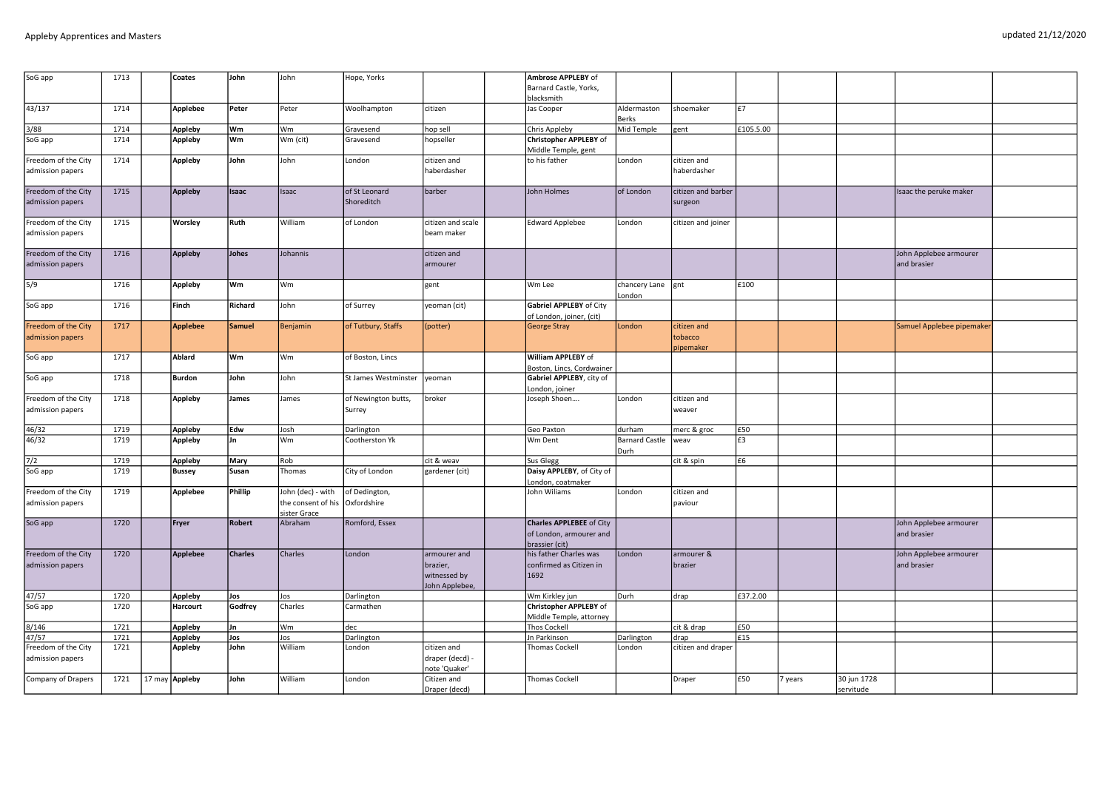| SoG app<br>1713<br>Ambrose APPLEBY of<br><b>Coates</b><br>John<br>John<br>Hope, Yorks<br>Barnard Castle, Yorks,<br>blacksmith<br>43/137<br>1714<br>Applebee<br>Peter<br>Woolhampton<br>citizen<br>Aldermaston<br>l£7<br>Peter<br>Jas Cooper<br>shoemaker<br>Berks<br>3/88<br>Appleby<br>lwm<br>lwm<br>Chris Appleby<br>Mid Temple<br>£105.5.00<br>1714<br>Gravesend<br>hop sell<br>gent<br>Wm (cit)<br><b>Christopher APPLEBY of</b><br>SoG app<br>1714<br>Appleby<br>Wm<br>Gravesend<br>hopseller<br>Middle Temple, gent<br>Freedom of the City<br>1714<br>to his father<br>Appleby<br>John<br>John<br>London<br>citizen and<br>London<br>citizen and<br>haberdasher<br>haberdasher<br>admission papers<br>Freedom of the City<br>1715<br>of London<br>citizen and barber<br>Appleby<br>Isaac<br>of St Leonard<br>barber<br>John Holmes<br>Isaac the peruke maker<br>Isaac<br>Shoreditch<br>admission papers<br>surgeon<br>Freedom of the City<br>1715<br>William<br>Worsley<br>Ruth<br>of London<br>citizen and scale<br><b>Edward Applebee</b><br>London<br>citizen and joiner<br>admission papers<br>beam maker<br>Freedom of the City<br>1716<br>Johes<br>Johannis<br>citizen and<br>Appleby<br>John Applebee armourer<br>and brasier<br>admission papers<br>armourer<br>$\overline{\frac{5}{9}}$<br>1716<br>Wm<br> Wm<br>£100<br>Appleby<br>gent<br>Wm Lee<br>chancery Lane   gnt<br>London<br>SoG app<br>1716<br>Finch<br><b>Gabriel APPLEBY of City</b><br>Richard<br>John<br>of Surrey<br>yeoman (cit)<br>of London, joiner, (cit)<br>Freedom of the City<br>1717<br><b>Applebee</b><br><b>Samuel</b><br>Benjamin<br>of Tutbury, Staffs<br>London<br>citizen and<br>Samuel Applebee pipemaker<br>(potter)<br>George Stray<br>tobacco<br>admission papers<br>pipemaker<br>SoG app<br>William APPLEBY of<br>1717<br>Ablard<br>Wm<br>Wm<br>of Boston, Lincs<br>Boston, Lincs, Cordwainer<br>SoG app<br>Gabriel APPLEBY, city of<br>1718<br><b>Burdon</b><br>John<br>John<br>St James Westminster<br>veoman<br>London, joiner<br>Freedom of the City<br>1718<br>broker<br>Appleby<br><b>James</b><br>James<br>of Newington butts,<br>Joseph Shoen<br>London<br>citizen and<br>admission papers<br>Surrey<br>weaver<br>46/32<br>1719<br>durham<br>£50<br><b>Appleby</b><br>Edw<br>Josh<br>Darlington<br>Geo Paxton<br>merc & groc<br>46/32<br>1719<br>Wm<br><b>Barnard Castle</b><br>Appleby<br>Cootherston Yk<br>Wm Dent<br>£3<br>Jn<br>weav<br>Durh<br>7/2<br>1719<br>Rob<br>cit & weav<br>cit & spin<br>£6<br><b>Appleby</b><br>Mary<br>Sus Glegg<br>SoG app<br>1719<br><b>Bussey</b><br>Susan<br>Thomas<br>City of London<br>gardener (cit)<br>Daisy APPLEBY, of City of<br>London, coatmaker<br>Freedom of the City<br>1719<br>Phillip<br>John Wiliams<br>Applebee<br>John (dec) - with<br>of Dedington,<br>London<br>citizen and<br>admission papers<br>the consent of his<br>Oxfordshire<br>paviour<br>sister Grace<br>SoG app<br>1720<br><b>Robert</b><br>Abraham<br>Romford, Essex<br><b>Charles APPLEBEE of City</b><br>John Applebee armourer<br>Fryer<br>of London, armourer and<br>and brasier<br>brassier (cit)<br>Freedom of the City<br>1720<br>Applebee<br>Charles<br>Charles<br>London<br>armourer and<br>his father Charles was<br>London<br>armourer &<br>John Applebee armourer<br>admission papers<br>and brasier<br>brazier,<br>confirmed as Citizen in<br><b>I</b> brazier<br>1692<br>witnessed by<br>John Applebee,<br>47/57<br>1720<br>Appleby<br>Jos<br>Jos<br>Darlington<br>Wm Kirkley jun<br>Durh<br>drap<br>E37.2.00<br>SoG app<br>1720<br>Godfrey<br>Charles<br><b>Christopher APPLEBY of</b><br><b>Harcourt</b><br>Carmathen<br>Middle Temple, attorney<br>1721<br>8/146<br>Jn<br> Wm<br>cit & drap<br>£50<br>Appleby<br>dec<br>Thos Cockell<br>47/57<br>1721<br>In Parkinson<br>£15<br><b>Appleby</b><br>Jos<br>Jos<br>Darlington<br>Darlington<br>drap<br>William<br>Freedom of the City<br>1721<br>Appleby<br>John<br>citizen and draper<br>London<br>citizen and<br>Thomas Cockell<br>London<br>admission papers<br>draper (decd) -<br>note 'Quaker'<br>Company of Drapers<br>1721<br>William<br>£50<br>30 jun 1728<br>17 may Appleby<br>John<br>Citizen and<br><b>Thomas Cockell</b><br>London<br>Draper<br>7 years<br>Draper (decd)<br>servitude |  |  |  |  |  |  |  |  |  |
|--------------------------------------------------------------------------------------------------------------------------------------------------------------------------------------------------------------------------------------------------------------------------------------------------------------------------------------------------------------------------------------------------------------------------------------------------------------------------------------------------------------------------------------------------------------------------------------------------------------------------------------------------------------------------------------------------------------------------------------------------------------------------------------------------------------------------------------------------------------------------------------------------------------------------------------------------------------------------------------------------------------------------------------------------------------------------------------------------------------------------------------------------------------------------------------------------------------------------------------------------------------------------------------------------------------------------------------------------------------------------------------------------------------------------------------------------------------------------------------------------------------------------------------------------------------------------------------------------------------------------------------------------------------------------------------------------------------------------------------------------------------------------------------------------------------------------------------------------------------------------------------------------------------------------------------------------------------------------------------------------------------------------------------------------------------------------------------------------------------------------------------------------------------------------------------------------------------------------------------------------------------------------------------------------------------------------------------------------------------------------------------------------------------------------------------------------------------------------------------------------------------------------------------------------------------------------------------------------------------------------------------------------------------------------------------------------------------------------------------------------------------------------------------------------------------------------------------------------------------------------------------------------------------------------------------------------------------------------------------------------------------------------------------------------------------------------------------------------------------------------------------------------------------------------------------------------------------------------------------------------------------------------------------------------------------------------------------------------------------------------------------------------------------------------------------------------------------------------------------------------------------------------------------------------------------------------------------------------------------------------------------------------------------------------------------------------------------------------------------------------------------------------------------------------------------------------------------------------------------------------------------------------------------------------------------------------------------------------------------------------------------------------------------------------------------------------------------------------------------------------------------------------------------------------------------------------------------------------------------------------------------------------------------------|--|--|--|--|--|--|--|--|--|
|                                                                                                                                                                                                                                                                                                                                                                                                                                                                                                                                                                                                                                                                                                                                                                                                                                                                                                                                                                                                                                                                                                                                                                                                                                                                                                                                                                                                                                                                                                                                                                                                                                                                                                                                                                                                                                                                                                                                                                                                                                                                                                                                                                                                                                                                                                                                                                                                                                                                                                                                                                                                                                                                                                                                                                                                                                                                                                                                                                                                                                                                                                                                                                                                                                                                                                                                                                                                                                                                                                                                                                                                                                                                                                                                                                                                                                                                                                                                                                                                                                                                                                                                                                                                                                                                                            |  |  |  |  |  |  |  |  |  |
|                                                                                                                                                                                                                                                                                                                                                                                                                                                                                                                                                                                                                                                                                                                                                                                                                                                                                                                                                                                                                                                                                                                                                                                                                                                                                                                                                                                                                                                                                                                                                                                                                                                                                                                                                                                                                                                                                                                                                                                                                                                                                                                                                                                                                                                                                                                                                                                                                                                                                                                                                                                                                                                                                                                                                                                                                                                                                                                                                                                                                                                                                                                                                                                                                                                                                                                                                                                                                                                                                                                                                                                                                                                                                                                                                                                                                                                                                                                                                                                                                                                                                                                                                                                                                                                                                            |  |  |  |  |  |  |  |  |  |
|                                                                                                                                                                                                                                                                                                                                                                                                                                                                                                                                                                                                                                                                                                                                                                                                                                                                                                                                                                                                                                                                                                                                                                                                                                                                                                                                                                                                                                                                                                                                                                                                                                                                                                                                                                                                                                                                                                                                                                                                                                                                                                                                                                                                                                                                                                                                                                                                                                                                                                                                                                                                                                                                                                                                                                                                                                                                                                                                                                                                                                                                                                                                                                                                                                                                                                                                                                                                                                                                                                                                                                                                                                                                                                                                                                                                                                                                                                                                                                                                                                                                                                                                                                                                                                                                                            |  |  |  |  |  |  |  |  |  |
|                                                                                                                                                                                                                                                                                                                                                                                                                                                                                                                                                                                                                                                                                                                                                                                                                                                                                                                                                                                                                                                                                                                                                                                                                                                                                                                                                                                                                                                                                                                                                                                                                                                                                                                                                                                                                                                                                                                                                                                                                                                                                                                                                                                                                                                                                                                                                                                                                                                                                                                                                                                                                                                                                                                                                                                                                                                                                                                                                                                                                                                                                                                                                                                                                                                                                                                                                                                                                                                                                                                                                                                                                                                                                                                                                                                                                                                                                                                                                                                                                                                                                                                                                                                                                                                                                            |  |  |  |  |  |  |  |  |  |
|                                                                                                                                                                                                                                                                                                                                                                                                                                                                                                                                                                                                                                                                                                                                                                                                                                                                                                                                                                                                                                                                                                                                                                                                                                                                                                                                                                                                                                                                                                                                                                                                                                                                                                                                                                                                                                                                                                                                                                                                                                                                                                                                                                                                                                                                                                                                                                                                                                                                                                                                                                                                                                                                                                                                                                                                                                                                                                                                                                                                                                                                                                                                                                                                                                                                                                                                                                                                                                                                                                                                                                                                                                                                                                                                                                                                                                                                                                                                                                                                                                                                                                                                                                                                                                                                                            |  |  |  |  |  |  |  |  |  |
|                                                                                                                                                                                                                                                                                                                                                                                                                                                                                                                                                                                                                                                                                                                                                                                                                                                                                                                                                                                                                                                                                                                                                                                                                                                                                                                                                                                                                                                                                                                                                                                                                                                                                                                                                                                                                                                                                                                                                                                                                                                                                                                                                                                                                                                                                                                                                                                                                                                                                                                                                                                                                                                                                                                                                                                                                                                                                                                                                                                                                                                                                                                                                                                                                                                                                                                                                                                                                                                                                                                                                                                                                                                                                                                                                                                                                                                                                                                                                                                                                                                                                                                                                                                                                                                                                            |  |  |  |  |  |  |  |  |  |
|                                                                                                                                                                                                                                                                                                                                                                                                                                                                                                                                                                                                                                                                                                                                                                                                                                                                                                                                                                                                                                                                                                                                                                                                                                                                                                                                                                                                                                                                                                                                                                                                                                                                                                                                                                                                                                                                                                                                                                                                                                                                                                                                                                                                                                                                                                                                                                                                                                                                                                                                                                                                                                                                                                                                                                                                                                                                                                                                                                                                                                                                                                                                                                                                                                                                                                                                                                                                                                                                                                                                                                                                                                                                                                                                                                                                                                                                                                                                                                                                                                                                                                                                                                                                                                                                                            |  |  |  |  |  |  |  |  |  |
|                                                                                                                                                                                                                                                                                                                                                                                                                                                                                                                                                                                                                                                                                                                                                                                                                                                                                                                                                                                                                                                                                                                                                                                                                                                                                                                                                                                                                                                                                                                                                                                                                                                                                                                                                                                                                                                                                                                                                                                                                                                                                                                                                                                                                                                                                                                                                                                                                                                                                                                                                                                                                                                                                                                                                                                                                                                                                                                                                                                                                                                                                                                                                                                                                                                                                                                                                                                                                                                                                                                                                                                                                                                                                                                                                                                                                                                                                                                                                                                                                                                                                                                                                                                                                                                                                            |  |  |  |  |  |  |  |  |  |
|                                                                                                                                                                                                                                                                                                                                                                                                                                                                                                                                                                                                                                                                                                                                                                                                                                                                                                                                                                                                                                                                                                                                                                                                                                                                                                                                                                                                                                                                                                                                                                                                                                                                                                                                                                                                                                                                                                                                                                                                                                                                                                                                                                                                                                                                                                                                                                                                                                                                                                                                                                                                                                                                                                                                                                                                                                                                                                                                                                                                                                                                                                                                                                                                                                                                                                                                                                                                                                                                                                                                                                                                                                                                                                                                                                                                                                                                                                                                                                                                                                                                                                                                                                                                                                                                                            |  |  |  |  |  |  |  |  |  |
|                                                                                                                                                                                                                                                                                                                                                                                                                                                                                                                                                                                                                                                                                                                                                                                                                                                                                                                                                                                                                                                                                                                                                                                                                                                                                                                                                                                                                                                                                                                                                                                                                                                                                                                                                                                                                                                                                                                                                                                                                                                                                                                                                                                                                                                                                                                                                                                                                                                                                                                                                                                                                                                                                                                                                                                                                                                                                                                                                                                                                                                                                                                                                                                                                                                                                                                                                                                                                                                                                                                                                                                                                                                                                                                                                                                                                                                                                                                                                                                                                                                                                                                                                                                                                                                                                            |  |  |  |  |  |  |  |  |  |
|                                                                                                                                                                                                                                                                                                                                                                                                                                                                                                                                                                                                                                                                                                                                                                                                                                                                                                                                                                                                                                                                                                                                                                                                                                                                                                                                                                                                                                                                                                                                                                                                                                                                                                                                                                                                                                                                                                                                                                                                                                                                                                                                                                                                                                                                                                                                                                                                                                                                                                                                                                                                                                                                                                                                                                                                                                                                                                                                                                                                                                                                                                                                                                                                                                                                                                                                                                                                                                                                                                                                                                                                                                                                                                                                                                                                                                                                                                                                                                                                                                                                                                                                                                                                                                                                                            |  |  |  |  |  |  |  |  |  |
|                                                                                                                                                                                                                                                                                                                                                                                                                                                                                                                                                                                                                                                                                                                                                                                                                                                                                                                                                                                                                                                                                                                                                                                                                                                                                                                                                                                                                                                                                                                                                                                                                                                                                                                                                                                                                                                                                                                                                                                                                                                                                                                                                                                                                                                                                                                                                                                                                                                                                                                                                                                                                                                                                                                                                                                                                                                                                                                                                                                                                                                                                                                                                                                                                                                                                                                                                                                                                                                                                                                                                                                                                                                                                                                                                                                                                                                                                                                                                                                                                                                                                                                                                                                                                                                                                            |  |  |  |  |  |  |  |  |  |
|                                                                                                                                                                                                                                                                                                                                                                                                                                                                                                                                                                                                                                                                                                                                                                                                                                                                                                                                                                                                                                                                                                                                                                                                                                                                                                                                                                                                                                                                                                                                                                                                                                                                                                                                                                                                                                                                                                                                                                                                                                                                                                                                                                                                                                                                                                                                                                                                                                                                                                                                                                                                                                                                                                                                                                                                                                                                                                                                                                                                                                                                                                                                                                                                                                                                                                                                                                                                                                                                                                                                                                                                                                                                                                                                                                                                                                                                                                                                                                                                                                                                                                                                                                                                                                                                                            |  |  |  |  |  |  |  |  |  |
|                                                                                                                                                                                                                                                                                                                                                                                                                                                                                                                                                                                                                                                                                                                                                                                                                                                                                                                                                                                                                                                                                                                                                                                                                                                                                                                                                                                                                                                                                                                                                                                                                                                                                                                                                                                                                                                                                                                                                                                                                                                                                                                                                                                                                                                                                                                                                                                                                                                                                                                                                                                                                                                                                                                                                                                                                                                                                                                                                                                                                                                                                                                                                                                                                                                                                                                                                                                                                                                                                                                                                                                                                                                                                                                                                                                                                                                                                                                                                                                                                                                                                                                                                                                                                                                                                            |  |  |  |  |  |  |  |  |  |
|                                                                                                                                                                                                                                                                                                                                                                                                                                                                                                                                                                                                                                                                                                                                                                                                                                                                                                                                                                                                                                                                                                                                                                                                                                                                                                                                                                                                                                                                                                                                                                                                                                                                                                                                                                                                                                                                                                                                                                                                                                                                                                                                                                                                                                                                                                                                                                                                                                                                                                                                                                                                                                                                                                                                                                                                                                                                                                                                                                                                                                                                                                                                                                                                                                                                                                                                                                                                                                                                                                                                                                                                                                                                                                                                                                                                                                                                                                                                                                                                                                                                                                                                                                                                                                                                                            |  |  |  |  |  |  |  |  |  |
|                                                                                                                                                                                                                                                                                                                                                                                                                                                                                                                                                                                                                                                                                                                                                                                                                                                                                                                                                                                                                                                                                                                                                                                                                                                                                                                                                                                                                                                                                                                                                                                                                                                                                                                                                                                                                                                                                                                                                                                                                                                                                                                                                                                                                                                                                                                                                                                                                                                                                                                                                                                                                                                                                                                                                                                                                                                                                                                                                                                                                                                                                                                                                                                                                                                                                                                                                                                                                                                                                                                                                                                                                                                                                                                                                                                                                                                                                                                                                                                                                                                                                                                                                                                                                                                                                            |  |  |  |  |  |  |  |  |  |
|                                                                                                                                                                                                                                                                                                                                                                                                                                                                                                                                                                                                                                                                                                                                                                                                                                                                                                                                                                                                                                                                                                                                                                                                                                                                                                                                                                                                                                                                                                                                                                                                                                                                                                                                                                                                                                                                                                                                                                                                                                                                                                                                                                                                                                                                                                                                                                                                                                                                                                                                                                                                                                                                                                                                                                                                                                                                                                                                                                                                                                                                                                                                                                                                                                                                                                                                                                                                                                                                                                                                                                                                                                                                                                                                                                                                                                                                                                                                                                                                                                                                                                                                                                                                                                                                                            |  |  |  |  |  |  |  |  |  |
|                                                                                                                                                                                                                                                                                                                                                                                                                                                                                                                                                                                                                                                                                                                                                                                                                                                                                                                                                                                                                                                                                                                                                                                                                                                                                                                                                                                                                                                                                                                                                                                                                                                                                                                                                                                                                                                                                                                                                                                                                                                                                                                                                                                                                                                                                                                                                                                                                                                                                                                                                                                                                                                                                                                                                                                                                                                                                                                                                                                                                                                                                                                                                                                                                                                                                                                                                                                                                                                                                                                                                                                                                                                                                                                                                                                                                                                                                                                                                                                                                                                                                                                                                                                                                                                                                            |  |  |  |  |  |  |  |  |  |
|                                                                                                                                                                                                                                                                                                                                                                                                                                                                                                                                                                                                                                                                                                                                                                                                                                                                                                                                                                                                                                                                                                                                                                                                                                                                                                                                                                                                                                                                                                                                                                                                                                                                                                                                                                                                                                                                                                                                                                                                                                                                                                                                                                                                                                                                                                                                                                                                                                                                                                                                                                                                                                                                                                                                                                                                                                                                                                                                                                                                                                                                                                                                                                                                                                                                                                                                                                                                                                                                                                                                                                                                                                                                                                                                                                                                                                                                                                                                                                                                                                                                                                                                                                                                                                                                                            |  |  |  |  |  |  |  |  |  |
|                                                                                                                                                                                                                                                                                                                                                                                                                                                                                                                                                                                                                                                                                                                                                                                                                                                                                                                                                                                                                                                                                                                                                                                                                                                                                                                                                                                                                                                                                                                                                                                                                                                                                                                                                                                                                                                                                                                                                                                                                                                                                                                                                                                                                                                                                                                                                                                                                                                                                                                                                                                                                                                                                                                                                                                                                                                                                                                                                                                                                                                                                                                                                                                                                                                                                                                                                                                                                                                                                                                                                                                                                                                                                                                                                                                                                                                                                                                                                                                                                                                                                                                                                                                                                                                                                            |  |  |  |  |  |  |  |  |  |
|                                                                                                                                                                                                                                                                                                                                                                                                                                                                                                                                                                                                                                                                                                                                                                                                                                                                                                                                                                                                                                                                                                                                                                                                                                                                                                                                                                                                                                                                                                                                                                                                                                                                                                                                                                                                                                                                                                                                                                                                                                                                                                                                                                                                                                                                                                                                                                                                                                                                                                                                                                                                                                                                                                                                                                                                                                                                                                                                                                                                                                                                                                                                                                                                                                                                                                                                                                                                                                                                                                                                                                                                                                                                                                                                                                                                                                                                                                                                                                                                                                                                                                                                                                                                                                                                                            |  |  |  |  |  |  |  |  |  |
|                                                                                                                                                                                                                                                                                                                                                                                                                                                                                                                                                                                                                                                                                                                                                                                                                                                                                                                                                                                                                                                                                                                                                                                                                                                                                                                                                                                                                                                                                                                                                                                                                                                                                                                                                                                                                                                                                                                                                                                                                                                                                                                                                                                                                                                                                                                                                                                                                                                                                                                                                                                                                                                                                                                                                                                                                                                                                                                                                                                                                                                                                                                                                                                                                                                                                                                                                                                                                                                                                                                                                                                                                                                                                                                                                                                                                                                                                                                                                                                                                                                                                                                                                                                                                                                                                            |  |  |  |  |  |  |  |  |  |
|                                                                                                                                                                                                                                                                                                                                                                                                                                                                                                                                                                                                                                                                                                                                                                                                                                                                                                                                                                                                                                                                                                                                                                                                                                                                                                                                                                                                                                                                                                                                                                                                                                                                                                                                                                                                                                                                                                                                                                                                                                                                                                                                                                                                                                                                                                                                                                                                                                                                                                                                                                                                                                                                                                                                                                                                                                                                                                                                                                                                                                                                                                                                                                                                                                                                                                                                                                                                                                                                                                                                                                                                                                                                                                                                                                                                                                                                                                                                                                                                                                                                                                                                                                                                                                                                                            |  |  |  |  |  |  |  |  |  |
|                                                                                                                                                                                                                                                                                                                                                                                                                                                                                                                                                                                                                                                                                                                                                                                                                                                                                                                                                                                                                                                                                                                                                                                                                                                                                                                                                                                                                                                                                                                                                                                                                                                                                                                                                                                                                                                                                                                                                                                                                                                                                                                                                                                                                                                                                                                                                                                                                                                                                                                                                                                                                                                                                                                                                                                                                                                                                                                                                                                                                                                                                                                                                                                                                                                                                                                                                                                                                                                                                                                                                                                                                                                                                                                                                                                                                                                                                                                                                                                                                                                                                                                                                                                                                                                                                            |  |  |  |  |  |  |  |  |  |
|                                                                                                                                                                                                                                                                                                                                                                                                                                                                                                                                                                                                                                                                                                                                                                                                                                                                                                                                                                                                                                                                                                                                                                                                                                                                                                                                                                                                                                                                                                                                                                                                                                                                                                                                                                                                                                                                                                                                                                                                                                                                                                                                                                                                                                                                                                                                                                                                                                                                                                                                                                                                                                                                                                                                                                                                                                                                                                                                                                                                                                                                                                                                                                                                                                                                                                                                                                                                                                                                                                                                                                                                                                                                                                                                                                                                                                                                                                                                                                                                                                                                                                                                                                                                                                                                                            |  |  |  |  |  |  |  |  |  |
|                                                                                                                                                                                                                                                                                                                                                                                                                                                                                                                                                                                                                                                                                                                                                                                                                                                                                                                                                                                                                                                                                                                                                                                                                                                                                                                                                                                                                                                                                                                                                                                                                                                                                                                                                                                                                                                                                                                                                                                                                                                                                                                                                                                                                                                                                                                                                                                                                                                                                                                                                                                                                                                                                                                                                                                                                                                                                                                                                                                                                                                                                                                                                                                                                                                                                                                                                                                                                                                                                                                                                                                                                                                                                                                                                                                                                                                                                                                                                                                                                                                                                                                                                                                                                                                                                            |  |  |  |  |  |  |  |  |  |
|                                                                                                                                                                                                                                                                                                                                                                                                                                                                                                                                                                                                                                                                                                                                                                                                                                                                                                                                                                                                                                                                                                                                                                                                                                                                                                                                                                                                                                                                                                                                                                                                                                                                                                                                                                                                                                                                                                                                                                                                                                                                                                                                                                                                                                                                                                                                                                                                                                                                                                                                                                                                                                                                                                                                                                                                                                                                                                                                                                                                                                                                                                                                                                                                                                                                                                                                                                                                                                                                                                                                                                                                                                                                                                                                                                                                                                                                                                                                                                                                                                                                                                                                                                                                                                                                                            |  |  |  |  |  |  |  |  |  |
|                                                                                                                                                                                                                                                                                                                                                                                                                                                                                                                                                                                                                                                                                                                                                                                                                                                                                                                                                                                                                                                                                                                                                                                                                                                                                                                                                                                                                                                                                                                                                                                                                                                                                                                                                                                                                                                                                                                                                                                                                                                                                                                                                                                                                                                                                                                                                                                                                                                                                                                                                                                                                                                                                                                                                                                                                                                                                                                                                                                                                                                                                                                                                                                                                                                                                                                                                                                                                                                                                                                                                                                                                                                                                                                                                                                                                                                                                                                                                                                                                                                                                                                                                                                                                                                                                            |  |  |  |  |  |  |  |  |  |
|                                                                                                                                                                                                                                                                                                                                                                                                                                                                                                                                                                                                                                                                                                                                                                                                                                                                                                                                                                                                                                                                                                                                                                                                                                                                                                                                                                                                                                                                                                                                                                                                                                                                                                                                                                                                                                                                                                                                                                                                                                                                                                                                                                                                                                                                                                                                                                                                                                                                                                                                                                                                                                                                                                                                                                                                                                                                                                                                                                                                                                                                                                                                                                                                                                                                                                                                                                                                                                                                                                                                                                                                                                                                                                                                                                                                                                                                                                                                                                                                                                                                                                                                                                                                                                                                                            |  |  |  |  |  |  |  |  |  |
|                                                                                                                                                                                                                                                                                                                                                                                                                                                                                                                                                                                                                                                                                                                                                                                                                                                                                                                                                                                                                                                                                                                                                                                                                                                                                                                                                                                                                                                                                                                                                                                                                                                                                                                                                                                                                                                                                                                                                                                                                                                                                                                                                                                                                                                                                                                                                                                                                                                                                                                                                                                                                                                                                                                                                                                                                                                                                                                                                                                                                                                                                                                                                                                                                                                                                                                                                                                                                                                                                                                                                                                                                                                                                                                                                                                                                                                                                                                                                                                                                                                                                                                                                                                                                                                                                            |  |  |  |  |  |  |  |  |  |
|                                                                                                                                                                                                                                                                                                                                                                                                                                                                                                                                                                                                                                                                                                                                                                                                                                                                                                                                                                                                                                                                                                                                                                                                                                                                                                                                                                                                                                                                                                                                                                                                                                                                                                                                                                                                                                                                                                                                                                                                                                                                                                                                                                                                                                                                                                                                                                                                                                                                                                                                                                                                                                                                                                                                                                                                                                                                                                                                                                                                                                                                                                                                                                                                                                                                                                                                                                                                                                                                                                                                                                                                                                                                                                                                                                                                                                                                                                                                                                                                                                                                                                                                                                                                                                                                                            |  |  |  |  |  |  |  |  |  |
|                                                                                                                                                                                                                                                                                                                                                                                                                                                                                                                                                                                                                                                                                                                                                                                                                                                                                                                                                                                                                                                                                                                                                                                                                                                                                                                                                                                                                                                                                                                                                                                                                                                                                                                                                                                                                                                                                                                                                                                                                                                                                                                                                                                                                                                                                                                                                                                                                                                                                                                                                                                                                                                                                                                                                                                                                                                                                                                                                                                                                                                                                                                                                                                                                                                                                                                                                                                                                                                                                                                                                                                                                                                                                                                                                                                                                                                                                                                                                                                                                                                                                                                                                                                                                                                                                            |  |  |  |  |  |  |  |  |  |
|                                                                                                                                                                                                                                                                                                                                                                                                                                                                                                                                                                                                                                                                                                                                                                                                                                                                                                                                                                                                                                                                                                                                                                                                                                                                                                                                                                                                                                                                                                                                                                                                                                                                                                                                                                                                                                                                                                                                                                                                                                                                                                                                                                                                                                                                                                                                                                                                                                                                                                                                                                                                                                                                                                                                                                                                                                                                                                                                                                                                                                                                                                                                                                                                                                                                                                                                                                                                                                                                                                                                                                                                                                                                                                                                                                                                                                                                                                                                                                                                                                                                                                                                                                                                                                                                                            |  |  |  |  |  |  |  |  |  |
|                                                                                                                                                                                                                                                                                                                                                                                                                                                                                                                                                                                                                                                                                                                                                                                                                                                                                                                                                                                                                                                                                                                                                                                                                                                                                                                                                                                                                                                                                                                                                                                                                                                                                                                                                                                                                                                                                                                                                                                                                                                                                                                                                                                                                                                                                                                                                                                                                                                                                                                                                                                                                                                                                                                                                                                                                                                                                                                                                                                                                                                                                                                                                                                                                                                                                                                                                                                                                                                                                                                                                                                                                                                                                                                                                                                                                                                                                                                                                                                                                                                                                                                                                                                                                                                                                            |  |  |  |  |  |  |  |  |  |
|                                                                                                                                                                                                                                                                                                                                                                                                                                                                                                                                                                                                                                                                                                                                                                                                                                                                                                                                                                                                                                                                                                                                                                                                                                                                                                                                                                                                                                                                                                                                                                                                                                                                                                                                                                                                                                                                                                                                                                                                                                                                                                                                                                                                                                                                                                                                                                                                                                                                                                                                                                                                                                                                                                                                                                                                                                                                                                                                                                                                                                                                                                                                                                                                                                                                                                                                                                                                                                                                                                                                                                                                                                                                                                                                                                                                                                                                                                                                                                                                                                                                                                                                                                                                                                                                                            |  |  |  |  |  |  |  |  |  |
|                                                                                                                                                                                                                                                                                                                                                                                                                                                                                                                                                                                                                                                                                                                                                                                                                                                                                                                                                                                                                                                                                                                                                                                                                                                                                                                                                                                                                                                                                                                                                                                                                                                                                                                                                                                                                                                                                                                                                                                                                                                                                                                                                                                                                                                                                                                                                                                                                                                                                                                                                                                                                                                                                                                                                                                                                                                                                                                                                                                                                                                                                                                                                                                                                                                                                                                                                                                                                                                                                                                                                                                                                                                                                                                                                                                                                                                                                                                                                                                                                                                                                                                                                                                                                                                                                            |  |  |  |  |  |  |  |  |  |
|                                                                                                                                                                                                                                                                                                                                                                                                                                                                                                                                                                                                                                                                                                                                                                                                                                                                                                                                                                                                                                                                                                                                                                                                                                                                                                                                                                                                                                                                                                                                                                                                                                                                                                                                                                                                                                                                                                                                                                                                                                                                                                                                                                                                                                                                                                                                                                                                                                                                                                                                                                                                                                                                                                                                                                                                                                                                                                                                                                                                                                                                                                                                                                                                                                                                                                                                                                                                                                                                                                                                                                                                                                                                                                                                                                                                                                                                                                                                                                                                                                                                                                                                                                                                                                                                                            |  |  |  |  |  |  |  |  |  |
|                                                                                                                                                                                                                                                                                                                                                                                                                                                                                                                                                                                                                                                                                                                                                                                                                                                                                                                                                                                                                                                                                                                                                                                                                                                                                                                                                                                                                                                                                                                                                                                                                                                                                                                                                                                                                                                                                                                                                                                                                                                                                                                                                                                                                                                                                                                                                                                                                                                                                                                                                                                                                                                                                                                                                                                                                                                                                                                                                                                                                                                                                                                                                                                                                                                                                                                                                                                                                                                                                                                                                                                                                                                                                                                                                                                                                                                                                                                                                                                                                                                                                                                                                                                                                                                                                            |  |  |  |  |  |  |  |  |  |
|                                                                                                                                                                                                                                                                                                                                                                                                                                                                                                                                                                                                                                                                                                                                                                                                                                                                                                                                                                                                                                                                                                                                                                                                                                                                                                                                                                                                                                                                                                                                                                                                                                                                                                                                                                                                                                                                                                                                                                                                                                                                                                                                                                                                                                                                                                                                                                                                                                                                                                                                                                                                                                                                                                                                                                                                                                                                                                                                                                                                                                                                                                                                                                                                                                                                                                                                                                                                                                                                                                                                                                                                                                                                                                                                                                                                                                                                                                                                                                                                                                                                                                                                                                                                                                                                                            |  |  |  |  |  |  |  |  |  |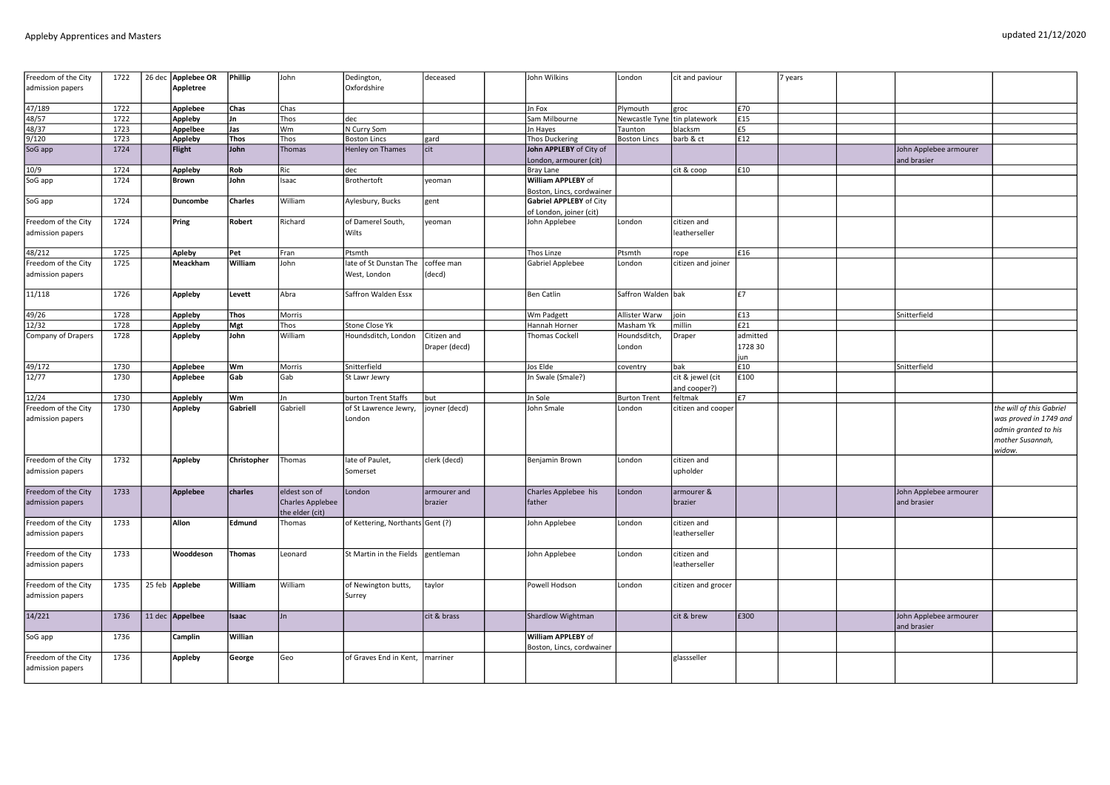| Freedom of the City                     | 1722 | 26 dec | Applebee OR      | <b>Phillip</b> | John                                | Dedington,                       | deceased      | John Wilkins                                       | London                       | cit and paviour                  |               | years |                                       |                                                                              |
|-----------------------------------------|------|--------|------------------|----------------|-------------------------------------|----------------------------------|---------------|----------------------------------------------------|------------------------------|----------------------------------|---------------|-------|---------------------------------------|------------------------------------------------------------------------------|
| admission papers                        |      |        | <b>Appletree</b> |                |                                     | Oxfordshire                      |               |                                                    |                              |                                  |               |       |                                       |                                                                              |
| 47/189                                  | 1722 |        | Applebee         | Chas           | Chas                                |                                  |               | Jn Fox                                             | Plymouth                     | groc                             | £70           |       |                                       |                                                                              |
| 48/57                                   | 1722 |        | Appleby          | Jn             | Thos                                | dec                              |               | Sam Milbourne                                      | Newcastle Tyne tin platework |                                  | £15           |       |                                       |                                                                              |
| 48/37                                   | 1723 |        | Appelbee         | Jas            | Wm                                  | N Curry Som                      |               | Jn Hayes                                           | Taunton                      | blacksm                          | £5            |       |                                       |                                                                              |
| 9/120                                   | 1723 |        | Appleby          | Thos           | Thos                                | <b>Boston Lincs</b>              | gard          | <b>Thos Duckering</b>                              | <b>Boston Lincs</b>          | barb & ct                        | £12           |       |                                       |                                                                              |
| SoG app                                 | 1724 |        | Flight           | John           | Thomas                              | Henley on Thames                 | cit           | John APPLEBY of City of                            |                              |                                  |               |       | John Applebee armourer                |                                                                              |
| 10/9                                    | 1724 |        |                  | Rob            | Ric                                 | dec                              |               | London, armourer (cit)<br>Bray Lane                |                              | cit & coop                       | £10           |       | and brasier                           |                                                                              |
| SoG app                                 | 1724 |        | Appleby<br>Brown | John           | Isaac                               | Brothertoft                      | yeoman        | William APPLEBY of                                 |                              |                                  |               |       |                                       |                                                                              |
|                                         |      |        |                  |                |                                     |                                  |               | Boston, Lincs, cordwainer                          |                              |                                  |               |       |                                       |                                                                              |
| SoG app                                 | 1724 |        | Duncombe         | <b>Charles</b> | William                             | Aylesbury, Bucks                 | gent          | Gabriel APPLEBY of City<br>of London, joiner (cit) |                              |                                  |               |       |                                       |                                                                              |
| Freedom of the City                     | 1724 |        | Pring            | Robert         | Richard                             | of Damerel South,                | veoman        | John Applebee                                      | London                       | citizen and                      |               |       |                                       |                                                                              |
| admission papers                        |      |        |                  |                |                                     | Wilts                            |               |                                                    |                              | leatherseller                    |               |       |                                       |                                                                              |
| 48/212                                  | 1725 |        | Apleby           | Pet            | Fran                                | Ptsmth                           |               | Thos Linze                                         | Ptsmth                       | rope                             | £16           |       |                                       |                                                                              |
| Freedom of the City                     | 1725 |        | Meackham         | William        | John                                | late of St Dunstan The           | coffee man    | Gabriel Applebee                                   | London                       | citizen and joiner               |               |       |                                       |                                                                              |
| admission papers                        |      |        |                  |                |                                     | West, London                     | (decd)        |                                                    |                              |                                  |               |       |                                       |                                                                              |
| 11/118                                  | 1726 |        | Appleby          | Levett         | Abra                                | Saffron Walden Essx              |               | <b>Ben Catlin</b>                                  | Saffron Walden bak           |                                  | E7            |       |                                       |                                                                              |
| 49/26                                   | 1728 |        | Appleby          | Thos           | Morris                              |                                  |               | Wm Padgett                                         | Allister Warw                | join                             | £13           |       | Snitterfield                          |                                                                              |
| 12/32                                   | 1728 |        | Appleby          | Mgt            | Thos                                | Stone Close Yk                   |               | Hannah Horner                                      | Masham Yk                    | millin                           | £21           |       |                                       |                                                                              |
| Company of Drapers                      | 1728 |        | Appleby          | John           | William                             | Houndsditch, London              | Citizen and   | <b>Thomas Cockell</b>                              | Houndsditch,                 | Draper                           | admitted      |       |                                       |                                                                              |
|                                         |      |        |                  |                |                                     |                                  | Draper (decd) |                                                    | London                       |                                  | 1728 30<br>un |       |                                       |                                                                              |
| 49/172                                  | 1730 |        | Applebee         | lwm            | Morris                              | Snitterfield                     |               | Jos Elde                                           | coventry                     | <b>bak</b>                       | £10           |       | Snitterfield                          |                                                                              |
| 12/77                                   | 1730 |        | Applebee         | Gab            | Gab                                 | St Lawr Jewry                    |               | Jn Swale (Smale?)                                  |                              | cit & jewel (cit<br>and cooper?) | £100          |       |                                       |                                                                              |
| 12/24                                   | 1730 |        | Applebly         | Wm             | Jn.                                 | burton Trent Staffs              | but           | Jn Sole                                            | <b>Burton Trent</b>          | feltmak                          | E7            |       |                                       |                                                                              |
| Freedom of the City                     | 1730 |        | Appleby          | Gabriell       | Gabriell                            | of St Lawrence Jewry,            | joyner (decd) | John Smale                                         | London                       | citizen and cooper               |               |       |                                       | the will of this Gabriel                                                     |
| admission papers                        |      |        |                  |                |                                     | London                           |               |                                                    |                              |                                  |               |       |                                       | was proved in 1749 and<br>admin granted to his<br>mother Susannah,<br>widow. |
| Freedom of the City                     | 1732 |        | Appleby          | Christopher    | Thomas                              | late of Paulet,                  | clerk (decd)  | Benjamin Brown                                     | London                       | citizen and                      |               |       |                                       |                                                                              |
| admission papers                        |      |        |                  |                |                                     | Somerset                         |               |                                                    |                              | upholder                         |               |       |                                       |                                                                              |
| Freedom of the City                     | 1733 |        | Applebee         | charles        | eldest son of                       | London                           | armourer and  | Charles Applebee his                               | London                       | armourer &                       |               |       | John Applebee armourer                |                                                                              |
| admission papers                        |      |        |                  |                | Charles Applebee<br>the elder (cit) |                                  | brazier       | father                                             |                              | brazier                          |               |       | and brasier                           |                                                                              |
| Freedom of the City                     | 1733 |        | Allon            | Edmund         | Thomas                              | of Kettering, Northants Gent (?) |               | John Applebee                                      | London                       | citizen and                      |               |       |                                       |                                                                              |
| admission papers                        |      |        |                  |                |                                     |                                  |               |                                                    |                              | leatherseller                    |               |       |                                       |                                                                              |
| Freedom of the City                     | 1733 |        | Wooddeson        | Thomas         | Leonard                             | St Martin in the Fields          | gentleman     | John Applebee                                      | London                       | citizen and                      |               |       |                                       |                                                                              |
| admission papers                        |      |        |                  |                |                                     |                                  |               |                                                    |                              | leatherseller                    |               |       |                                       |                                                                              |
| Freedom of the City<br>admission papers | 1735 |        | 25 feb Applebe   | William        | William                             | of Newington butts,<br>Surrey    | taylor        | Powell Hodson                                      | London                       | citizen and grocer               |               |       |                                       |                                                                              |
| 14/221                                  | 1736 |        | 11 dec Appelbee  | <b>Isaac</b>   | lJn.                                |                                  | cit & brass   | Shardlow Wightman                                  |                              | cit & brew                       | £300          |       | John Applebee armourer<br>and brasier |                                                                              |
| SoG app                                 | 1736 |        | Camplin          | Willian        |                                     |                                  |               | William APPLEBY of<br>Boston, Lincs, cordwainer    |                              |                                  |               |       |                                       |                                                                              |
| Freedom of the City                     | 1736 |        | Appleby          | George         | Geo                                 | of Graves End in Kent,           | marriner      |                                                    |                              | glassseller                      |               |       |                                       |                                                                              |
| admission papers                        |      |        |                  |                |                                     |                                  |               |                                                    |                              |                                  |               |       |                                       |                                                                              |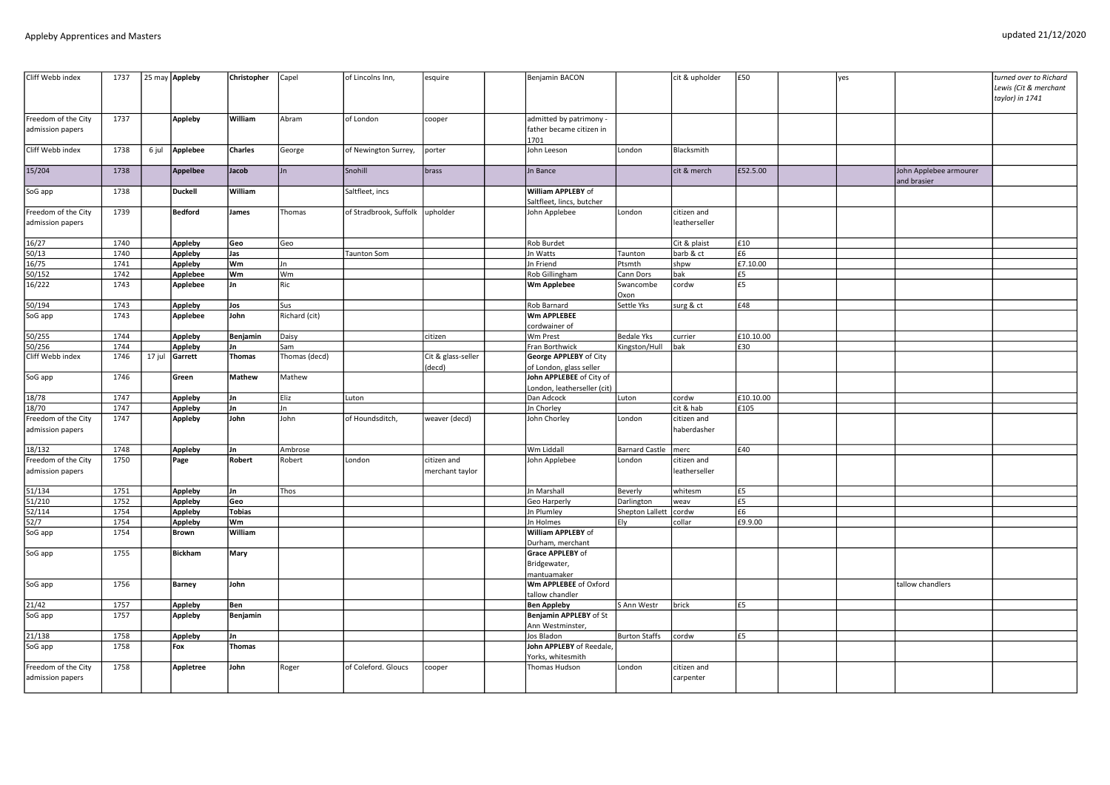| Cliff Webb index                        | 1737         | 25 may Appleby |                 | Christopher    | Capel         | of Lincolns Inn,       | esquire                        | Benjamin BACON                                              |                       | cit & upholder               | £50       | yes |                                       | turned over to Richard<br>Lewis (Cit & merchant<br>taylor) in 1741 |
|-----------------------------------------|--------------|----------------|-----------------|----------------|---------------|------------------------|--------------------------------|-------------------------------------------------------------|-----------------------|------------------------------|-----------|-----|---------------------------------------|--------------------------------------------------------------------|
| Freedom of the City<br>admission papers | 1737         |                | Appleby         | William        | Abram         | of London              | cooper                         | admitted by patrimony -<br>father became citizen in<br>1701 |                       |                              |           |     |                                       |                                                                    |
| Cliff Webb index                        | 1738         | 6 jul          | Applebee        | <b>Charles</b> | George        | of Newington Surrey,   | porter                         | John Leeson                                                 | London                | Blacksmith                   |           |     |                                       |                                                                    |
| 15/204                                  | 1738         |                | <b>Appelbee</b> | Jacob          | Jn            | Snohill                | brass                          | Jn Bance                                                    |                       | cit & merch                  | £52.5.00  |     | John Applebee armourer<br>and brasier |                                                                    |
| SoG app                                 | 1738         |                | <b>Duckell</b>  | William        |               | Saltfleet, incs        |                                | William APPLEBY of<br>Saltfleet, lincs, butcher             |                       |                              |           |     |                                       |                                                                    |
| Freedom of the City<br>admission papers | 1739         |                | <b>Bedford</b>  | James          | Thomas        | of Stradbrook, Suffolk | upholder                       | John Applebee                                               | London                | citizen and<br>leatherseller |           |     |                                       |                                                                    |
| 16/27                                   | 1740         |                | Appleby         | Geo            | Geo           |                        |                                | Rob Burdet                                                  |                       | Cit & plaist                 | F10       |     |                                       |                                                                    |
| 50/13                                   | 1740         |                | Appleby         | Jas            |               | <b>Taunton Som</b>     |                                | Jn Watts                                                    | Taunton               | barb & ct                    | £6        |     |                                       |                                                                    |
| 16/75                                   | 1741         |                | Appleby         | lwm            | Jn            |                        |                                | Jn Friend                                                   | Ptsmth                | shpw                         | £7.10.00  |     |                                       |                                                                    |
| 50/152                                  | 1742         |                | Applebee        | Wm             | Wm            |                        |                                | Rob Gillingham                                              | Cann Dors             | bak                          | £5        |     |                                       |                                                                    |
| 16/222                                  | 1743         |                | Applebee        | IJn            | Ric           |                        |                                | Wm Applebee                                                 | Swancombe<br>Oxon     | cordw                        | £5        |     |                                       |                                                                    |
| 50/194                                  | 1743         |                | <b>Appleby</b>  | Jos            | Sus           |                        |                                | Rob Barnard                                                 | Settle Yks            | surg & ct                    | £48       |     |                                       |                                                                    |
| SoG app                                 | 1743         |                | Applebee        | John           | Richard (cit) |                        |                                | Wm APPLEBEE<br>cordwainer of                                |                       |                              |           |     |                                       |                                                                    |
| 50/255                                  | 1744         |                | Appleby         | Benjamin       | Daisy         |                        | citizen                        | Wm Prest                                                    | <b>Bedale Yks</b>     | currier                      | £10.10.00 |     |                                       |                                                                    |
| 50/256                                  | 1744         |                | Appleby         | Jn             | Sam           |                        |                                | Fran Borthwick                                              | Kingston/Hull         | bak                          | £30       |     |                                       |                                                                    |
| Cliff Webb index                        | 1746         | 17 jul         | Garrett         | Thomas         | Thomas (decd) |                        | Cit & glass-seller<br>(decd)   | <b>George APPLEBY of City</b><br>of London, glass seller    |                       |                              |           |     |                                       |                                                                    |
| SoG app                                 | 1746         |                | Green           | Mathew         | Mathew        |                        |                                | John APPLEBEE of City of<br>London, leatherseller (cit)     |                       |                              |           |     |                                       |                                                                    |
| 18/78                                   | 1747         |                | Appleby         | Jn             | Eliz          | Luton                  |                                | Dan Adcock                                                  | Luton                 | cordw                        | £10.10.00 |     |                                       |                                                                    |
| 18/70                                   | 1747         |                | Appleby         | Jn             | lJn           |                        |                                | Jn Chorley                                                  |                       | cit & hab                    | £105      |     |                                       |                                                                    |
| Freedom of the City<br>admission papers | 1747         |                | Appleby         | John           | John          | of Houndsditch,        | weaver (decd)                  | John Chorley                                                | London                | citizen and<br>haberdasher   |           |     |                                       |                                                                    |
| 18/132                                  | 1748         |                | Appleby         | Jn             | Ambrose       |                        |                                | Wm Liddall                                                  | Barnard Castle   merc |                              | £40       |     |                                       |                                                                    |
| Freedom of the City<br>admission papers | 1750         |                | Page            | Robert         | Robert        | London                 | citizen and<br>merchant taylor | John Applebee                                               | London                | citizen and<br>leatherseller |           |     |                                       |                                                                    |
| 51/134                                  | 1751         |                | Appleby         | Jn             | Thos          |                        |                                | <b>Jn Marshall</b>                                          | Beverly               | whitesm                      | E5        |     |                                       |                                                                    |
| 51/210                                  | 1752         |                | Appleby         | Geo            |               |                        |                                | Geo Harperly                                                | Darlington            | weav                         | l£5       |     |                                       |                                                                    |
| 52/114                                  | 1754         |                | Appleby         | Tobias         |               |                        |                                | Jn Plumley                                                  | Shepton Lallett cordw |                              | E6        |     |                                       |                                                                    |
| 52/7                                    | 1754<br>1754 |                | Appleby         | Wm<br>William  |               |                        |                                | Jn Holmes<br>William APPLEBY of                             | Ely                   | collar                       | £9.9.00   |     |                                       |                                                                    |
| SoG app                                 |              |                | <b>Brown</b>    |                |               |                        |                                | Durham, merchant                                            |                       |                              |           |     |                                       |                                                                    |
| SoG app                                 | 1755         |                | <b>Bickham</b>  | Mary           |               |                        |                                | <b>Grace APPLEBY of</b><br>Bridgewater,<br>mantuamaker      |                       |                              |           |     |                                       |                                                                    |
| SoG app                                 | 1756         |                | Barney          | John           |               |                        |                                | Wm APPLEBEE of Oxford<br>tallow chandler                    |                       |                              |           |     | tallow chandlers                      |                                                                    |
| 21/42                                   | 1757         |                | <b>Appleby</b>  | Ben            |               |                        |                                | <b>Ben Appleby</b>                                          | S Ann Westr           | brick                        | £5        |     |                                       |                                                                    |
| SoG app                                 | 1757         |                | <b>Appleby</b>  | Benjamin       |               |                        |                                | Benjamin APPLEBY of St                                      |                       |                              |           |     |                                       |                                                                    |
|                                         |              |                |                 |                |               |                        |                                | Ann Westminster,                                            |                       |                              |           |     |                                       |                                                                    |
| 21/138                                  | 1758         |                | Appleby         | Jn             |               |                        |                                | Jos Bladon                                                  | <b>Burton Staffs</b>  | cordw                        | £5        |     |                                       |                                                                    |
| SoG app                                 | 1758         |                | Fox             | Thomas         |               |                        |                                | John APPLEBY of Reedale,<br>Yorks, whitesmith               |                       |                              |           |     |                                       |                                                                    |
| Freedom of the City<br>admission papers | 1758         |                | Appletree       | John           | Roger         | of Coleford. Gloucs    | cooper                         | Thomas Hudson                                               | London                | citizen and<br>carpenter     |           |     |                                       |                                                                    |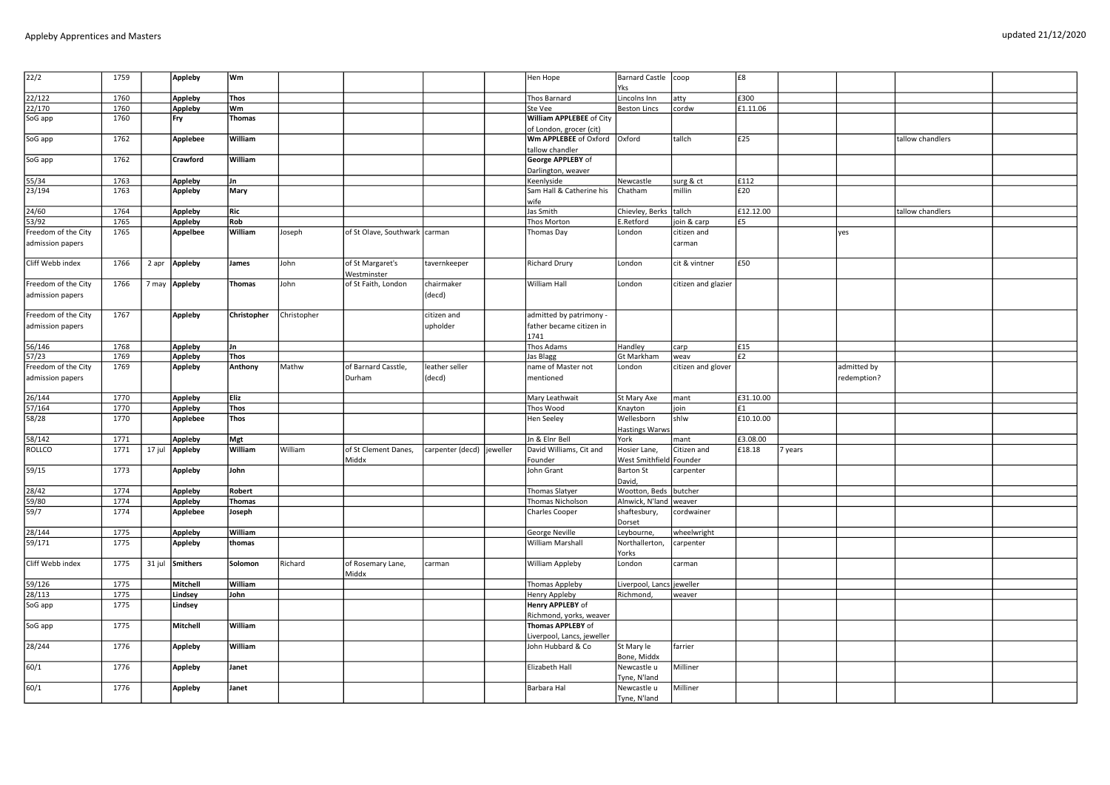| updated 21/12/2020 |
|--------------------|
|                    |

| $\boxed{22/2}$                          | 1759         |        | <b>Appleby</b>  | Wm            |                |                                 |                         |          | Hen Hope                                                    | Barnard Castle coop                         |                     | £8        |         |             |                  |  |
|-----------------------------------------|--------------|--------|-----------------|---------------|----------------|---------------------------------|-------------------------|----------|-------------------------------------------------------------|---------------------------------------------|---------------------|-----------|---------|-------------|------------------|--|
|                                         |              |        |                 |               |                |                                 |                         |          |                                                             | Yks                                         |                     |           |         |             |                  |  |
| 22/122                                  | 1760         |        | <b>Appleby</b>  | <b>Thos</b>   |                |                                 |                         |          | Thos Barnard                                                | Lincolns Inn                                | atty                | £300      |         |             |                  |  |
| 22/170                                  | 1760         |        | Appleby         | Wm            |                |                                 |                         |          | Ste Vee                                                     | <b>Beston Lincs</b>                         | cordw               | £1.11.06  |         |             |                  |  |
| SoG app                                 | 1760         |        | Fry             | <b>Thomas</b> |                |                                 |                         |          | William APPLEBEE of City<br>of London, grocer (cit)         |                                             |                     |           |         |             |                  |  |
| SoG app                                 | 1762         |        | Applebee        | William       |                |                                 |                         |          | Wm APPLEBEE of Oxford   Oxford<br>tallow chandler           |                                             | tallch              | £25       |         |             | tallow chandlers |  |
| SoG app                                 | 1762         |        | Crawford        | William       |                |                                 |                         |          | George APPLEBY of                                           |                                             |                     |           |         |             |                  |  |
|                                         |              |        |                 |               |                |                                 |                         |          | Darlington, weaver                                          |                                             |                     |           |         |             |                  |  |
| 55/34                                   | 1763         |        | Appleby         | Jn            |                |                                 |                         |          | Keenlyside                                                  | Newcastle                                   | surg & ct           | £112      |         |             |                  |  |
| 23/194                                  | 1763         |        | Appleby         | Mary          |                |                                 |                         |          | Sam Hall & Catherine his<br>wife                            | Chatham                                     | millin              | £20       |         |             |                  |  |
| 24/60                                   | 1764         |        | <b>Appleby</b>  | Ric           |                |                                 |                         |          | Jas Smith                                                   | Chievley, Berks tallch                      |                     | £12.12.00 |         |             | tallow chandlers |  |
| 53/92                                   | 1765         |        | <b>Appleby</b>  | Rob           |                |                                 |                         |          | Thos Morton                                                 | E.Retford                                   | join & carp         | £5        |         |             |                  |  |
| Freedom of the City                     | 1765         |        | Appelbee        | William       | Joseph         | of St Olave, Southwark   carman |                         |          | Thomas Day                                                  | London                                      | citizen and         |           |         | yes         |                  |  |
| admission papers                        |              |        |                 |               |                |                                 |                         |          |                                                             |                                             | carman              |           |         |             |                  |  |
| Cliff Webb index                        | 1766         | 2 apr  | <b>Appleby</b>  | James         | John           | of St Margaret's<br>Westminster | tavernkeeper            |          | <b>Richard Drury</b>                                        | London                                      | cit & vintner       | £50       |         |             |                  |  |
| Freedom of the City<br>admission papers | 1766         |        | 7 may Appleby   | Thomas        | John           | of St Faith, London             | chairmaker<br>(decd)    |          | William Hall                                                | London                                      | citizen and glazier |           |         |             |                  |  |
| Freedom of the City<br>admission papers | 1767         |        | <b>Appleby</b>  | Christopher   | Christopher    |                                 | citizen and<br>upholder |          | admitted by patrimony -<br>father became citizen in<br>1741 |                                             |                     |           |         |             |                  |  |
| 56/146                                  | 1768         |        | <b>Appleby</b>  | Jn            |                |                                 |                         |          | Thos Adams                                                  | Handley                                     | carp                | £15       |         |             |                  |  |
| 57/23                                   | 1769         |        | <b>Appleby</b>  | <b>Thos</b>   |                |                                 |                         |          | Jas Blagg                                                   | Gt Markham                                  | weav                | E2        |         |             |                  |  |
| Freedom of the City                     | 1769         |        | Appleby         | Anthony       | Mathw          | of Barnard Casstle,             | leather seller          |          | name of Master not                                          | London                                      | citizen and glover  |           |         | admitted by |                  |  |
| admission papers                        |              |        |                 |               |                | Durham                          | (decd)                  |          | mentioned                                                   |                                             |                     |           |         | redemption? |                  |  |
| 26/144                                  | 1770         |        | Appleby         | <b>Eliz</b>   |                |                                 |                         |          | Mary Leathwait                                              | St Mary Axe                                 | mant                | £31.10.00 |         |             |                  |  |
| 57/164                                  | 1770         |        | Appleby         | <b>Thos</b>   |                |                                 |                         |          | Thos Wood                                                   | Knayton                                     | join                | £1        |         |             |                  |  |
| 58/28                                   | 1770         |        | Applebee        | <b>Thos</b>   |                |                                 |                         |          | Hen Seeley                                                  | Wellesborn<br><b>Hastings Warws</b>         | shlw                | £10.10.00 |         |             |                  |  |
| 58/142                                  | 1771         |        | Appleby         | Mgt           |                |                                 |                         |          | Jn & Elnr Bell                                              | York                                        | mant                | £3.08.00  |         |             |                  |  |
| <b>ROLLCO</b>                           | 1771         | 17 jul | Appleby         | William       | <b>William</b> | of St Clement Danes,            | carpenter (decd)        | jeweller | David Williams, Cit and                                     | Hosier Lane,                                | Citizen and         | £18.18    | 7 years |             |                  |  |
| 59/15                                   | 1773         |        | Appleby         | John          |                | Middx                           |                         |          | Founder<br>John Grant                                       | West Smithfield Founder<br><b>Barton St</b> | carpenter           |           |         |             |                  |  |
|                                         |              |        |                 |               |                |                                 |                         |          |                                                             | David,                                      |                     |           |         |             |                  |  |
| 28/42                                   | 1774<br>1774 |        | Appleby         | <b>Robert</b> |                |                                 |                         |          | Thomas Slatyer                                              | Wootton, Beds                               | butcher             |           |         |             |                  |  |
| 59/80                                   |              |        | <b>Appleby</b>  | <b>Thomas</b> |                |                                 |                         |          | Thomas Nicholson                                            | Alnwick, N'land   weaver                    |                     |           |         |             |                  |  |
| 59/7                                    | 1774         |        | Applebee        | Joseph        |                |                                 |                         |          | <b>Charles Cooper</b>                                       | shaftesbury,<br>Dorset                      | cordwainer          |           |         |             |                  |  |
| 28/144                                  | 1775         |        | Appleby         | William       |                |                                 |                         |          | George Neville                                              | Leybourne,                                  | wheelwright         |           |         |             |                  |  |
| 59/171                                  | 1775         |        | Appleby         | thomas        |                |                                 |                         |          | William Marshall                                            | Northallerton,<br>Yorks                     | carpenter           |           |         |             |                  |  |
| Cliff Webb index                        | 1775         |        | 31 jul Smithers | Solomon       | Richard        | of Rosemary Lane,<br>Middx      | carman                  |          | William Appleby                                             | London                                      | carman              |           |         |             |                  |  |
| 59/126                                  | 1775         |        | Mitchell        | William       |                |                                 |                         |          | Thomas Appleby                                              | Liverpool, Lancs jeweller                   |                     |           |         |             |                  |  |
| 28/113                                  | 1775         |        | Lindsey         | John          |                |                                 |                         |          | Henry Appleby                                               | Richmond,                                   | weaver              |           |         |             |                  |  |
| SoG app                                 | 1775         |        | Lindsey         |               |                |                                 |                         |          | Henry APPLEBY of<br>Richmond, yorks, weaver                 |                                             |                     |           |         |             |                  |  |
| SoG app                                 | 1775         |        | Mitchell        | William       |                |                                 |                         |          | Thomas APPLEBY of                                           |                                             |                     |           |         |             |                  |  |
| 28/244                                  | 1776         |        | Appleby         | William       |                |                                 |                         |          | Liverpool, Lancs, jeweller<br>John Hubbard & Co             | St Mary le                                  | farrier             |           |         |             |                  |  |
| 60/1                                    | 1776         |        | Appleby         | Janet         |                |                                 |                         |          | Elizabeth Hall                                              | Bone, Middx<br>Newcastle u                  | Milliner            |           |         |             |                  |  |
|                                         |              |        |                 |               |                |                                 |                         |          |                                                             | Tyne, N'land                                |                     |           |         |             |                  |  |
| 60/1                                    | 1776         |        | <b>Appleby</b>  | Janet         |                |                                 |                         |          | Barbara Hal                                                 | Newcastle u<br>Tyne, N'land                 | Milliner            |           |         |             |                  |  |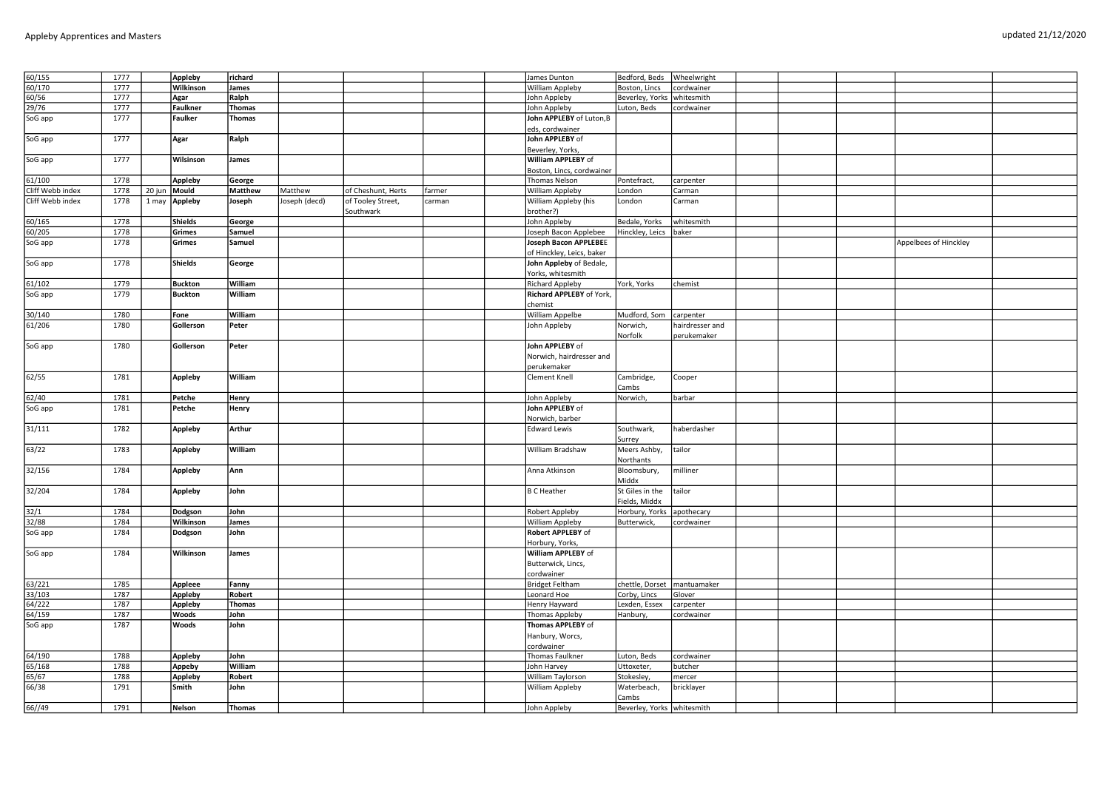| 60/155           | 1777 |        | Appleby        | richard       |               |                    |        | James Dunton                 | Bedford, Beds Wheelwright     |                 |  |                       |  |
|------------------|------|--------|----------------|---------------|---------------|--------------------|--------|------------------------------|-------------------------------|-----------------|--|-----------------------|--|
| 60/170           | 1777 |        | Wilkinson      | James         |               |                    |        | William Appleby              | Boston, Lincs                 | cordwainer      |  |                       |  |
| 60/56            | 1777 |        | Agar           | Ralph         |               |                    |        | John Appleby                 | Beverley, Yorks   whitesmith  |                 |  |                       |  |
| 29/76            | 1777 |        | Faulkner       | <b>Thomas</b> |               |                    |        | John Appleby                 | Luton, Beds                   | cordwainer      |  |                       |  |
| SoG app          | 1777 |        | Faulker        | <b>Thomas</b> |               |                    |        | John APPLEBY of Luton, B     |                               |                 |  |                       |  |
|                  |      |        |                |               |               |                    |        | eds, cordwainer              |                               |                 |  |                       |  |
| SoG app          | 1777 |        | Agar           | Ralph         |               |                    |        | John APPLEBY of              |                               |                 |  |                       |  |
|                  |      |        |                |               |               |                    |        | Beverley, Yorks,             |                               |                 |  |                       |  |
| SoG app          | 1777 |        | Wilsinson      | James         |               |                    |        | William APPLEBY of           |                               |                 |  |                       |  |
|                  |      |        |                |               |               |                    |        | Boston, Lincs, cordwainer    |                               |                 |  |                       |  |
| 61/100           | 1778 |        | <b>Appleby</b> | George        |               |                    |        | Thomas Nelson                | Pontefract,                   | carpenter       |  |                       |  |
| Cliff Webb index | 1778 | 20 jun | Mould          | Matthew       | Matthew       | of Cheshunt, Herts | farmer | <b>William Appleby</b>       | London                        | Carman          |  |                       |  |
| Cliff Webb index | 1778 | 1 may  | Appleby        | Joseph        | Joseph (decd) | of Tooley Street,  | carman | William Appleby (his         | London                        | Carman          |  |                       |  |
|                  |      |        |                |               |               | Southwark          |        | brother?)                    |                               |                 |  |                       |  |
| 60/165           | 1778 |        | <b>Shields</b> | George        |               |                    |        | John Appleby                 | Bedale, Yorks                 | whitesmith      |  |                       |  |
| 60/205           | 1778 |        | Grimes         | Samuel        |               |                    |        | Joseph Bacon Applebee        | Hinckley, Leics               | baker           |  |                       |  |
| SoG app          | 1778 |        | Grimes         | <b>Samuel</b> |               |                    |        | <b>Joseph Bacon APPLEBEE</b> |                               |                 |  | Appelbees of Hinckley |  |
|                  |      |        |                |               |               |                    |        | of Hinckley, Leics, baker    |                               |                 |  |                       |  |
| SoG app          | 1778 |        | <b>Shields</b> | George        |               |                    |        | John Appleby of Bedale,      |                               |                 |  |                       |  |
|                  |      |        |                |               |               |                    |        | Yorks, whitesmith            |                               |                 |  |                       |  |
| 61/102           | 1779 |        | <b>Buckton</b> | William       |               |                    |        | <b>Richard Appleby</b>       | York, Yorks                   | chemist         |  |                       |  |
| SoG app          | 1779 |        | <b>Buckton</b> | William       |               |                    |        | Richard APPLEBY of York,     |                               |                 |  |                       |  |
|                  |      |        |                |               |               |                    |        | chemist                      |                               |                 |  |                       |  |
| 30/140           | 1780 |        | Fone           | William       |               |                    |        | William Appelbe              | Mudford, Som                  | carpenter       |  |                       |  |
| 61/206           | 1780 |        | Gollerson      | Peter         |               |                    |        | John Appleby                 | Norwich,                      | hairdresser and |  |                       |  |
|                  |      |        |                |               |               |                    |        |                              | Norfolk                       | perukemaker     |  |                       |  |
| SoG app          | 1780 |        | Gollerson      | Peter         |               |                    |        | John APPLEBY of              |                               |                 |  |                       |  |
|                  |      |        |                |               |               |                    |        | Norwich, hairdresser and     |                               |                 |  |                       |  |
|                  |      |        |                | William       |               |                    |        | perukemaker                  |                               |                 |  |                       |  |
| 62/55            | 1781 |        | <b>Appleby</b> |               |               |                    |        | <b>Clement Knell</b>         | Cambridge,<br>Cambs           | Cooper          |  |                       |  |
| 62/40            | 1781 |        | Petche         | Henry         |               |                    |        | John Appleby                 | Norwich,                      | barbar          |  |                       |  |
| SoG app          | 1781 |        | Petche         | Henry         |               |                    |        | John APPLEBY of              |                               |                 |  |                       |  |
|                  |      |        |                |               |               |                    |        | Norwich, barber              |                               |                 |  |                       |  |
| 31/111           | 1782 |        | Appleby        | Arthur        |               |                    |        | <b>Edward Lewis</b>          | Southwark,                    | haberdasher     |  |                       |  |
|                  |      |        |                |               |               |                    |        |                              | Surrey                        |                 |  |                       |  |
| 63/22            | 1783 |        | Appleby        | William       |               |                    |        | William Bradshaw             | Meers Ashby,                  | tailor          |  |                       |  |
|                  |      |        |                |               |               |                    |        |                              | Northants                     |                 |  |                       |  |
| 32/156           | 1784 |        | <b>Appleby</b> | Ann           |               |                    |        | Anna Atkinson                | Bloomsbury,                   | milliner        |  |                       |  |
|                  |      |        |                |               |               |                    |        |                              | Middx                         |                 |  |                       |  |
| 32/204           | 1784 |        | Appleby        | John          |               |                    |        | <b>B C Heather</b>           | St Giles in the               | tailor          |  |                       |  |
|                  |      |        |                |               |               |                    |        |                              | Fields, Middx                 |                 |  |                       |  |
| 32/1             | 1784 |        | Dodgson        | John          |               |                    |        | Robert Appleby               | Horbury, Yorks apothecary     |                 |  |                       |  |
| 32/88            | 1784 |        | Wilkinson      | James         |               |                    |        | <b>William Appleby</b>       | Butterwick,                   | cordwainer      |  |                       |  |
| SoG app          | 1784 |        | Dodgson        | John          |               |                    |        | Robert APPLEBY of            |                               |                 |  |                       |  |
|                  |      |        |                |               |               |                    |        | Horbury, Yorks,              |                               |                 |  |                       |  |
| SoG app          | 1784 |        | Wilkinson      | James         |               |                    |        | William APPLEBY of           |                               |                 |  |                       |  |
|                  |      |        |                |               |               |                    |        | Butterwick, Lincs,           |                               |                 |  |                       |  |
|                  |      |        |                |               |               |                    |        | cordwainer                   |                               |                 |  |                       |  |
| 63/221           | 1785 |        | Appleee        | Fanny         |               |                    |        | <b>Bridget Feltham</b>       | chettle, Dorset   mantuamaker |                 |  |                       |  |
| 33/103           | 1787 |        | <b>Appleby</b> | Robert        |               |                    |        | Leonard Hoe                  | Corby, Lincs                  | Glover          |  |                       |  |
| 64/222           | 1787 |        | Appleby        | <b>Thomas</b> |               |                    |        | Henry Hayward                | Lexden, Essex                 | carpenter       |  |                       |  |
| 64/159           | 1787 |        | Woods          | John          |               |                    |        | Thomas Appleby               | Hanbury,                      | cordwainer      |  |                       |  |
| SoG app          | 1787 |        | Woods          | John          |               |                    |        | Thomas APPLEBY of            |                               |                 |  |                       |  |
|                  |      |        |                |               |               |                    |        | Hanbury, Worcs,              |                               |                 |  |                       |  |
|                  |      |        |                |               |               |                    |        | cordwainer                   |                               |                 |  |                       |  |
| 64/190           | 1788 |        | <b>Appleby</b> | John          |               |                    |        | Thomas Faulkner              | Luton, Beds                   | cordwainer      |  |                       |  |
| 65/168           | 1788 |        | Appeby         | William       |               |                    |        | John Harvey                  | Uttoxeter,                    | butcher         |  |                       |  |
| 65/67            | 1788 |        | Appleby        | <b>Robert</b> |               |                    |        | William Taylorson            | Stokesley,                    | mercer          |  |                       |  |
| 66/38            | 1791 |        | Smith          | John          |               |                    |        | William Appleby              | Waterbeach,                   | bricklayer      |  |                       |  |
|                  |      |        |                |               |               |                    |        |                              | Cambs                         |                 |  |                       |  |
| 66//49           | 1791 |        | Nelson         | Thomas        |               |                    |        | John Appleby                 | Beverley, Yorks whitesmith    |                 |  |                       |  |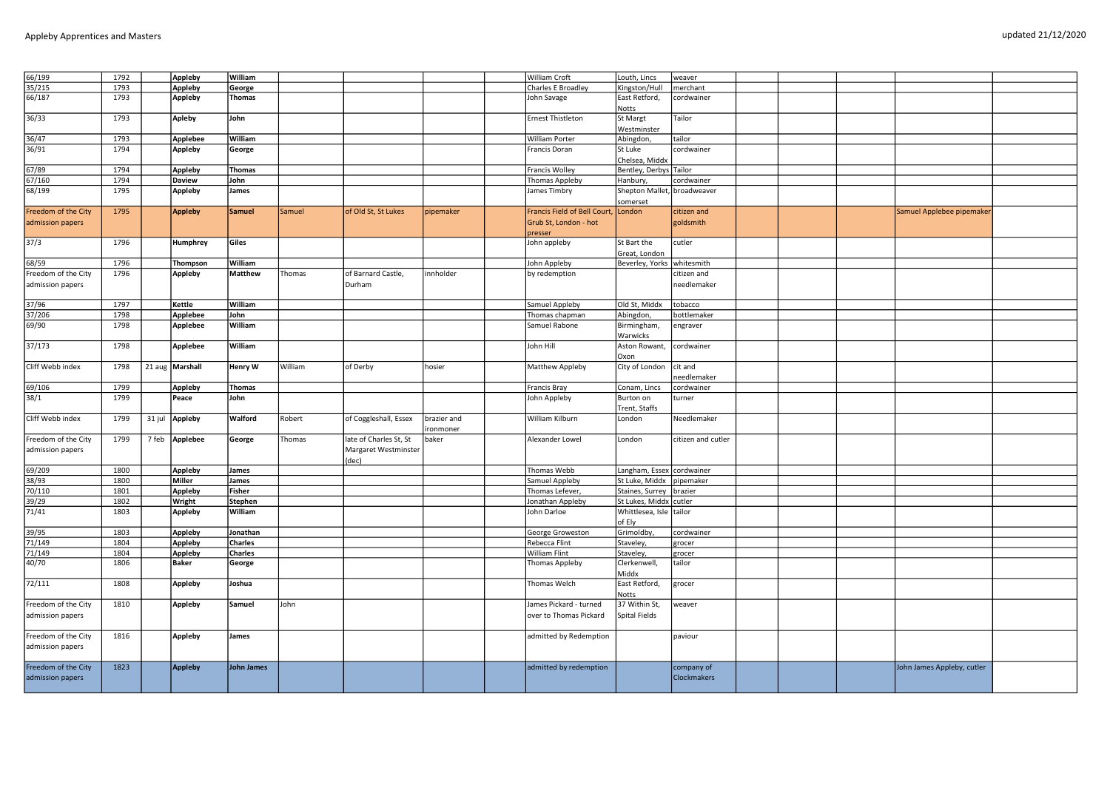| 66/199              | 1792 |       | Appleby         | William           |         |                        |             | William Croft                | Louth, Lincs                 | weaver             |  |                            |  |
|---------------------|------|-------|-----------------|-------------------|---------|------------------------|-------------|------------------------------|------------------------------|--------------------|--|----------------------------|--|
| 35/215              | 1793 |       | Appleby         | George            |         |                        |             | Charles E Broadley           | Kingston/Hull                | merchant           |  |                            |  |
| 66/187              | 1793 |       | <b>Appleby</b>  | <b>Thomas</b>     |         |                        |             | John Savage                  | East Retford,                | cordwainer         |  |                            |  |
|                     |      |       |                 |                   |         |                        |             |                              | Notts                        |                    |  |                            |  |
| 36/33               | 1793 |       | <b>Apleby</b>   | John              |         |                        |             | Ernest Thistleton            | St Margt                     | Tailor             |  |                            |  |
|                     |      |       |                 |                   |         |                        |             |                              | Westminster                  |                    |  |                            |  |
|                     |      |       |                 |                   |         |                        |             |                              |                              |                    |  |                            |  |
| 36/47               | 1793 |       | <b>Applebee</b> | William           |         |                        |             | <b>William Porter</b>        | Abingdon,                    | tailor             |  |                            |  |
| 36/91               | 1794 |       | Appleby         | George            |         |                        |             | Francis Doran                | St Luke                      | cordwainer         |  |                            |  |
|                     |      |       |                 |                   |         |                        |             |                              | Chelsea, Middx               |                    |  |                            |  |
| 67/89               | 1794 |       | Appleby         | <b>Thomas</b>     |         |                        |             | <b>Francis Wolley</b>        | Bentley, Derbys Tailor       |                    |  |                            |  |
| 67/160              | 1794 |       | <b>Daview</b>   | John              |         |                        |             | Thomas Appleby               | Hanbury,                     | cordwainer         |  |                            |  |
| 68/199              | 1795 |       | Appleby         | James             |         |                        |             | James Timbry                 | Shepton Mallet,              | broadweaver        |  |                            |  |
|                     |      |       |                 |                   |         |                        |             |                              | somerset                     |                    |  |                            |  |
| Freedom of the City | 1795 |       | <b>Appleby</b>  | <b>Samuel</b>     | Samuel  | of Old St, St Lukes    | pipemaker   | Francis Field of Bell Court, | London                       | citizen and        |  | Samuel Applebee pipemaker  |  |
| admission papers    |      |       |                 |                   |         |                        |             | Grub St, London - hot        |                              | goldsmith          |  |                            |  |
|                     |      |       |                 |                   |         |                        |             | presser                      |                              |                    |  |                            |  |
| 37/3                | 1796 |       | Humphrey        | Giles             |         |                        |             | John appleby                 | St Bart the                  | cutler             |  |                            |  |
|                     |      |       |                 |                   |         |                        |             |                              | Great, London                |                    |  |                            |  |
|                     |      |       |                 |                   |         |                        |             |                              |                              |                    |  |                            |  |
| 68/59               | 1796 |       | Thompson        | William           |         |                        |             | John Appleby                 | Beverley, Yorks   whitesmith |                    |  |                            |  |
| Freedom of the City | 1796 |       | Appleby         | <b>Matthew</b>    | Thomas  | of Barnard Castle,     | innholder   | by redemption                |                              | citizen and        |  |                            |  |
| admission papers    |      |       |                 |                   |         | Durham                 |             |                              |                              | needlemaker        |  |                            |  |
|                     |      |       |                 |                   |         |                        |             |                              |                              |                    |  |                            |  |
| 37/96               | 1797 |       | Kettle          | William           |         |                        |             | Samuel Appleby               | Old St. Middx                | tobacco            |  |                            |  |
| 37/206              | 1798 |       | Applebee        | John              |         |                        |             | Thomas chapman               | Abingdon,                    | bottlemaker        |  |                            |  |
| 69/90               | 1798 |       | Applebee        | William           |         |                        |             | Samuel Rabone                | Birmingham,                  | engraver           |  |                            |  |
|                     |      |       |                 |                   |         |                        |             |                              | Warwicks                     |                    |  |                            |  |
| 37/173              | 1798 |       | Applebee        | William           |         |                        |             | John Hill                    | Aston Rowant,                | cordwainer         |  |                            |  |
|                     |      |       |                 |                   |         |                        |             |                              | Oxon                         |                    |  |                            |  |
| Cliff Webb index    | 1798 |       | 21 aug Marshall | Henry W           | William | of Derby               | hosier      | Matthew Appleby              | City of London               | cit and            |  |                            |  |
|                     |      |       |                 |                   |         |                        |             |                              |                              | eedlemaker         |  |                            |  |
|                     | 1799 |       |                 |                   |         |                        |             |                              |                              |                    |  |                            |  |
| 69/106              |      |       | Appleby         | Thomas            |         |                        |             | <b>Francis Bray</b>          | Conam, Lincs                 | cordwainer         |  |                            |  |
| 38/1                | 1799 |       | Peace           | John              |         |                        |             | John Appleby                 | Burton on                    | turner             |  |                            |  |
|                     |      |       |                 |                   |         |                        |             |                              | Trent, Staffs                |                    |  |                            |  |
| Cliff Webb index    | 1799 |       | 31 jul Appleby  | Walford           | Robert  | of Coggleshall, Essex  | brazier and | William Kilburn              | London                       | Needlemaker        |  |                            |  |
|                     |      |       |                 |                   |         |                        | ironmoner   |                              |                              |                    |  |                            |  |
| Freedom of the City | 1799 | 7 feb | Applebee        | George            | Thomas  | late of Charles St, St | baker       | Alexander Lowel              | London                       | citizen and cutler |  |                            |  |
| admission papers    |      |       |                 |                   |         | Margaret Westminster   |             |                              |                              |                    |  |                            |  |
|                     |      |       |                 |                   |         | (dec)                  |             |                              |                              |                    |  |                            |  |
| 69/209              | 1800 |       | <b>Appleby</b>  | James             |         |                        |             | Thomas Webb                  | Langham, Essex cordwainer    |                    |  |                            |  |
| 38/93               | 1800 |       | Miller          | James             |         |                        |             | Samuel Appleby               | St Luke, Middx               | pipemaker          |  |                            |  |
| 70/110              | 1801 |       | <b>Appleby</b>  | <b>Fisher</b>     |         |                        |             | Thomas Lefever,              | Staines, Surrey brazier      |                    |  |                            |  |
| 39/29               | 1802 |       | Wright          | Stephen           |         |                        |             | Jonathan Appleby             | St Lukes, Middx cutler       |                    |  |                            |  |
| 71/41               | 1803 |       | Appleby         | William           |         |                        |             | John Darloe                  | Whittlesea, Isle tailor      |                    |  |                            |  |
|                     |      |       |                 |                   |         |                        |             |                              | of Ely                       |                    |  |                            |  |
|                     |      |       |                 |                   |         |                        |             |                              |                              |                    |  |                            |  |
| 39/95               | 1803 |       | <b>Appleby</b>  | Jonathan          |         |                        |             | George Groweston             | Grimoldby,                   | cordwainer         |  |                            |  |
| 71/149              | 1804 |       | <b>Appleby</b>  | <b>Charles</b>    |         |                        |             | Rebecca Flint                | Staveley,                    | grocer             |  |                            |  |
| 71/149              | 1804 |       | <b>Appleby</b>  | <b>Charles</b>    |         |                        |             | William Flint                | Staveley,                    | grocer             |  |                            |  |
| 40/70               | 1806 |       | <b>Baker</b>    | George            |         |                        |             | Thomas Appleby               | Clerkenwell,                 | tailor             |  |                            |  |
|                     |      |       |                 |                   |         |                        |             |                              | Middx                        |                    |  |                            |  |
| 72/111              | 1808 |       | Appleby         | Joshua            |         |                        |             | Thomas Welch                 | East Retford,                | grocer             |  |                            |  |
|                     |      |       |                 |                   |         |                        |             |                              | Notts                        |                    |  |                            |  |
| Freedom of the City | 1810 |       | Appleby         | Samuel            | John    |                        |             | James Pickard - turned       | 37 Within St,                | weaver             |  |                            |  |
| admission papers    |      |       |                 |                   |         |                        |             | over to Thomas Pickard       | Spital Fields                |                    |  |                            |  |
|                     |      |       |                 |                   |         |                        |             |                              |                              |                    |  |                            |  |
| Freedom of the City | 1816 |       | Appleby         | James             |         |                        |             | admitted by Redemption       |                              | paviour            |  |                            |  |
|                     |      |       |                 |                   |         |                        |             |                              |                              |                    |  |                            |  |
| admission papers    |      |       |                 |                   |         |                        |             |                              |                              |                    |  |                            |  |
|                     |      |       |                 |                   |         |                        |             |                              |                              |                    |  |                            |  |
| Freedom of the City | 1823 |       | <b>Appleby</b>  | <b>John James</b> |         |                        |             | admitted by redemption       |                              | company of         |  | John James Appleby, cutler |  |
| admission papers    |      |       |                 |                   |         |                        |             |                              |                              | <b>Clockmakers</b> |  |                            |  |
|                     |      |       |                 |                   |         |                        |             |                              |                              |                    |  |                            |  |